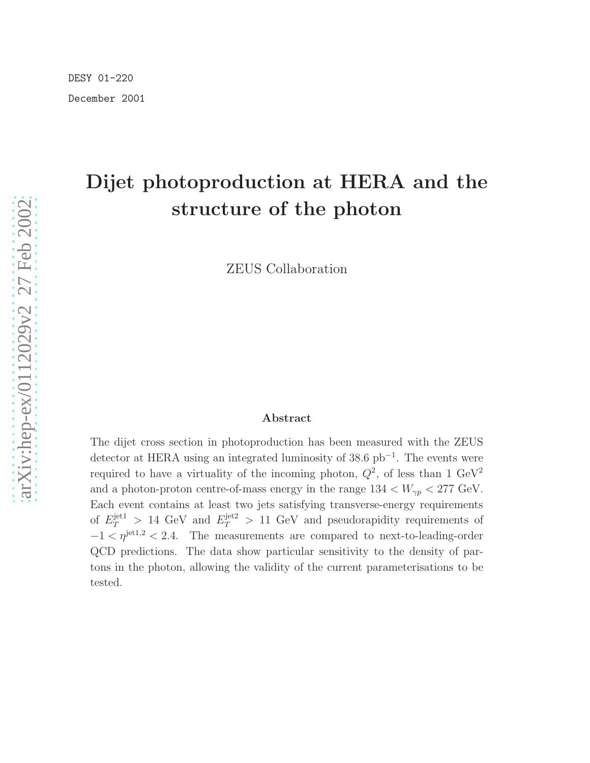# Dijet photoproduction at HERA and the structure of the photon

ZEUS Collaboration

#### Abstract

The dijet cross section in photoproduction has been measured with the ZEUS detector at HERA using an integrated luminosity of 38.6 pb<sup>−</sup><sup>1</sup> . The events were required to have a virtuality of the incoming photon,  $Q^2$ , of less than 1 GeV<sup>2</sup> and a photon-proton centre-of-mass energy in the range  $134 < W_{\gamma p} < 277$  GeV. Each event contains at least two jets satisfying transverse-energy requirements of  $E_T^{\text{jet1}} > 14 \text{ GeV}$  and  $E_T^{\text{jet2}} > 11 \text{ GeV}$  and pseudorapidity requirements of  $-1 < \eta^{\text{jet1,2}} < 2.4$ . The measurements are compared to next-to-leading-order QCD predictions. The data show particular sensitivity to the density of partons in the photon, allowing the validity of the current parameterisations to be tested.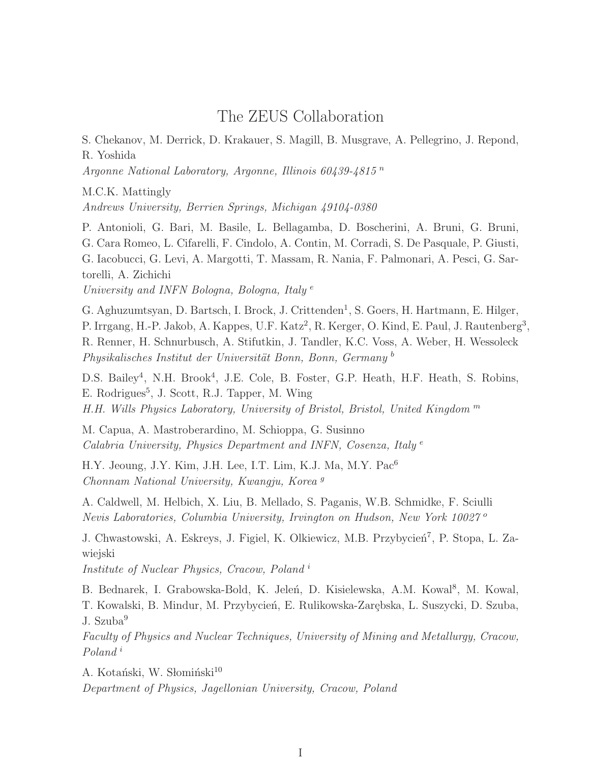## The ZEUS Collaboration

S. Chekanov, M. Derrick, D. Krakauer, S. Magill, B. Musgrave, A. Pellegrino, J. Repond, R. Yoshida

Argonne National Laboratory, Argonne, Illinois 60439-4815 n

M.C.K. Mattingly

Andrews University, Berrien Springs, Michigan 49104-0380

P. Antonioli, G. Bari, M. Basile, L. Bellagamba, D. Boscherini, A. Bruni, G. Bruni, G. Cara Romeo, L. Cifarelli, F. Cindolo, A. Contin, M. Corradi, S. De Pasquale, P. Giusti, G. Iacobucci, G. Levi, A. Margotti, T. Massam, R. Nania, F. Palmonari, A. Pesci, G. Sartorelli, A. Zichichi

University and INFN Bologna, Bologna, Italy<sup>e</sup>

G. Aghuzumtsyan, D. Bartsch, I. Brock, J. Crittenden<sup>1</sup>, S. Goers, H. Hartmann, E. Hilger, P. Irrgang, H.-P. Jakob, A. Kappes, U.F. Katz<sup>2</sup>, R. Kerger, O. Kind, E. Paul, J. Rautenberg<sup>3</sup>, R. Renner, H. Schnurbusch, A. Stifutkin, J. Tandler, K.C. Voss, A. Weber, H. Wessoleck Physikalisches Institut der Universität Bonn, Bonn, Germany<sup>b</sup>

D.S. Bailey<sup>4</sup>, N.H. Brook<sup>4</sup>, J.E. Cole, B. Foster, G.P. Heath, H.F. Heath, S. Robins, E. Rodrigues<sup>5</sup>, J. Scott, R.J. Tapper, M. Wing H.H. Wills Physics Laboratory, University of Bristol, Bristol, United Kingdom  $<sup>m</sup>$ </sup>

M. Capua, A. Mastroberardino, M. Schioppa, G. Susinno Calabria University, Physics Department and INFN, Cosenza, Italy<sup>e</sup>

H.Y. Jeoung, J.Y. Kim, J.H. Lee, I.T. Lim, K.J. Ma, M.Y. Pac<sup>6</sup> Chonnam National University, Kwangju, Korea <sup>g</sup>

A. Caldwell, M. Helbich, X. Liu, B. Mellado, S. Paganis, W.B. Schmidke, F. Sciulli Nevis Laboratories, Columbia University, Irvington on Hudson, New York 10027<sup>o</sup>

J. Chwastowski, A. Eskreys, J. Figiel, K. Olkiewicz, M.B. Przybycień<sup>7</sup>, P. Stopa, L. Zawiejski

Institute of Nuclear Physics, Cracow, Poland <sup>i</sup>

B. Bednarek, I. Grabowska-Bold, K. Jeleń, D. Kisielewska, A.M. Kowal<sup>8</sup>, M. Kowal, T. Kowalski, B. Mindur, M. Przybycień, E. Rulikowska-Zarębska, L. Suszycki, D. Szuba, J. Szuba<sup>9</sup>

Faculty of Physics and Nuclear Techniques, University of Mining and Metallurgy, Cracow, Poland<sup>i</sup>

A. Kotański, W. Słomiński<sup>10</sup>

Department of Physics, Jagellonian University, Cracow, Poland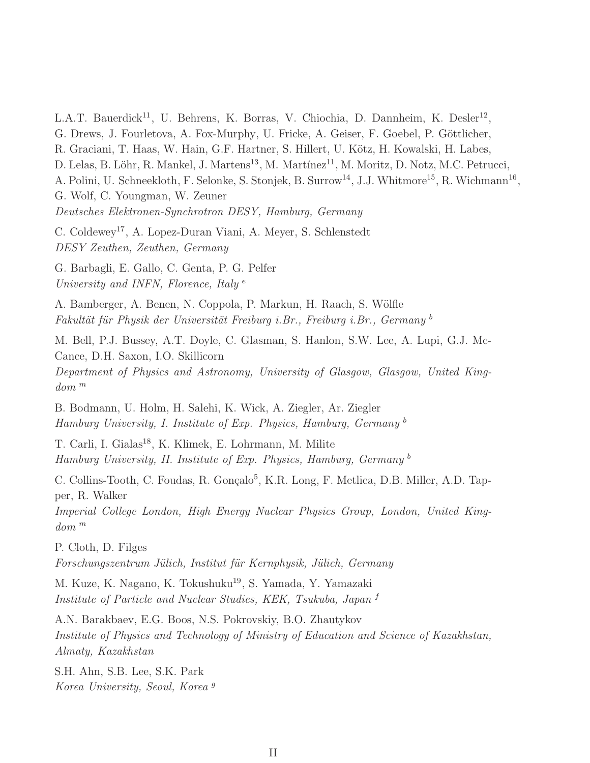L.A.T. Bauerdick<sup>11</sup>, U. Behrens, K. Borras, V. Chiochia, D. Dannheim, K. Desler<sup>12</sup>, G. Drews, J. Fourletova, A. Fox-Murphy, U. Fricke, A. Geiser, F. Goebel, P. Göttlicher, R. Graciani, T. Haas, W. Hain, G.F. Hartner, S. Hillert, U. Kötz, H. Kowalski, H. Labes, D. Lelas, B. Löhr, R. Mankel, J. Martens<sup>13</sup>, M. Martínez<sup>11</sup>, M. Moritz, D. Notz, M.C. Petrucci, A. Polini, U. Schneekloth, F. Selonke, S. Stonjek, B. Surrow<sup>14</sup>, J.J. Whitmore<sup>15</sup>, R. Wichmann<sup>16</sup>, G. Wolf, C. Youngman, W. Zeuner Deutsches Elektronen-Synchrotron DESY, Hamburg, Germany C. Coldewey<sup>17</sup>, A. Lopez-Duran Viani, A. Meyer, S. Schlenstedt DESY Zeuthen, Zeuthen, Germany G. Barbagli, E. Gallo, C. Genta, P. G. Pelfer University and INFN, Florence, Italy<sup>e</sup> A. Bamberger, A. Benen, N. Coppola, P. Markun, H. Raach, S. Wölfle Fakultät für Physik der Universität Freiburg i.Br., Freiburg i.Br., Germany b M. Bell, P.J. Bussey, A.T. Doyle, C. Glasman, S. Hanlon, S.W. Lee, A. Lupi, G.J. Mc-Cance, D.H. Saxon, I.O. Skillicorn Department of Physics and Astronomy, University of Glasgow, Glasgow, United Kingdom <sup>m</sup> B. Bodmann, U. Holm, H. Salehi, K. Wick, A. Ziegler, Ar. Ziegler Hamburg University, I. Institute of Exp. Physics, Hamburg, Germany <sup>b</sup> T. Carli, I. Gialas<sup>18</sup>, K. Klimek, E. Lohrmann, M. Milite Hamburg University, II. Institute of Exp. Physics, Hamburg, Germany<sup>b</sup> C. Collins-Tooth, C. Foudas, R. Gonçalo<sup>5</sup>, K.R. Long, F. Metlica, D.B. Miller, A.D. Tapper, R. Walker Imperial College London, High Energy Nuclear Physics Group, London, United Kingdom <sup>m</sup> P. Cloth, D. Filges Forschungszentrum Jülich, Institut für Kernphysik, Jülich, Germany M. Kuze, K. Nagano, K. Tokushuku<sup>19</sup>, S. Yamada, Y. Yamazaki Institute of Particle and Nuclear Studies, KEK, Tsukuba, Japan <sup>f</sup> A.N. Barakbaev, E.G. Boos, N.S. Pokrovskiy, B.O. Zhautykov Institute of Physics and Technology of Ministry of Education and Science of Kazakhstan,

S.H. Ahn, S.B. Lee, S.K. Park Korea University, Seoul, Korea <sup>g</sup>

Almaty, Kazakhstan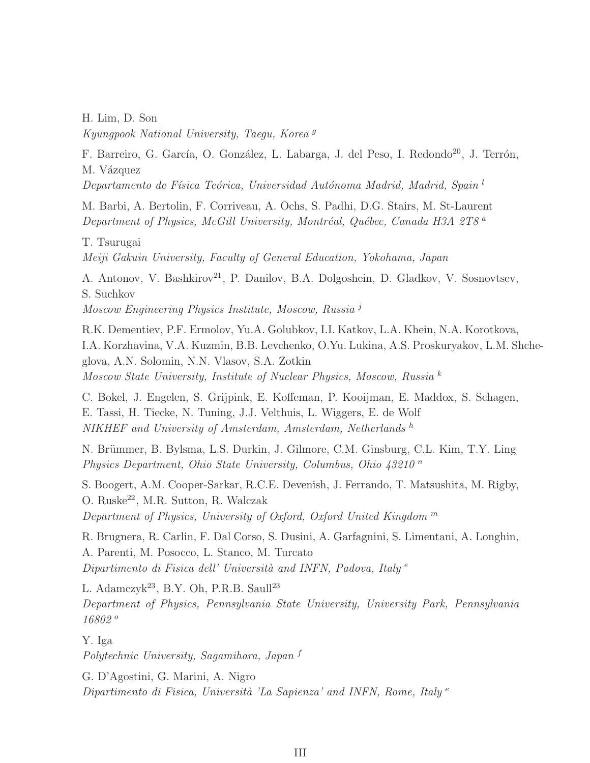H. Lim, D. Son Kyungpook National University, Taegu, Korea <sup>g</sup>

F. Barreiro, G. García, O. González, L. Labarga, J. del Peso, I. Redondo<sup>20</sup>, J. Terrón, M. Vázquez

 $Departmento de Física Teórica, Universidad Autónoma Madrid, Madrid, Spain<sup>1</sup>$ 

M. Barbi, A. Bertolin, F. Corriveau, A. Ochs, S. Padhi, D.G. Stairs, M. St-Laurent Department of Physics, McGill University, Montréal, Québec, Canada H3A 2T8<sup>a</sup>

T. Tsurugai

Meiji Gakuin University, Faculty of General Education, Yokohama, Japan

A. Antonov, V. Bashkirov<sup>21</sup>, P. Danilov, B.A. Dolgoshein, D. Gladkov, V. Sosnovtsev, S. Suchkov Moscow Engineering Physics Institute, Moscow, Russia <sup>j</sup>

R.K. Dementiev, P.F. Ermolov, Yu.A. Golubkov, I.I. Katkov, L.A. Khein, N.A. Korotkova, I.A. Korzhavina, V.A. Kuzmin, B.B. Levchenko, O.Yu. Lukina, A.S. Proskuryakov, L.M. Shcheglova, A.N. Solomin, N.N. Vlasov, S.A. Zotkin Moscow State University, Institute of Nuclear Physics, Moscow, Russia <sup>k</sup>

C. Bokel, J. Engelen, S. Grijpink, E. Koffeman, P. Kooijman, E. Maddox, S. Schagen, E. Tassi, H. Tiecke, N. Tuning, J.J. Velthuis, L. Wiggers, E. de Wolf NIKHEF and University of Amsterdam, Amsterdam, Netherlands h

N. Brümmer, B. Bylsma, L.S. Durkin, J. Gilmore, C.M. Ginsburg, C.L. Kim, T.Y. Ling Physics Department, Ohio State University, Columbus, Ohio  $43210<sup>n</sup>$ 

S. Boogert, A.M. Cooper-Sarkar, R.C.E. Devenish, J. Ferrando, T. Matsushita, M. Rigby, O. Ruske<sup>22</sup>, M.R. Sutton, R. Walczak Department of Physics, University of Oxford, Oxford United Kingdom  $<sup>m</sup>$ </sup>

R. Brugnera, R. Carlin, F. Dal Corso, S. Dusini, A. Garfagnini, S. Limentani, A. Longhin, A. Parenti, M. Posocco, L. Stanco, M. Turcato Dipartimento di Fisica dell' Università and INFN, Padova, Italy  $e$ 

L. Adamczyk<sup>23</sup>, B.Y. Oh, P.R.B. Saull<sup>23</sup>

Department of Physics, Pennsylvania State University, University Park, Pennsylvania 16802 <sup>o</sup>

Y. Iga

Polytechnic University, Sagamihara, Japan <sup>f</sup>

G. D'Agostini, G. Marini, A. Nigro Dipartimento di Fisica, Università 'La Sapienza' and INFN, Rome, Italy  $e$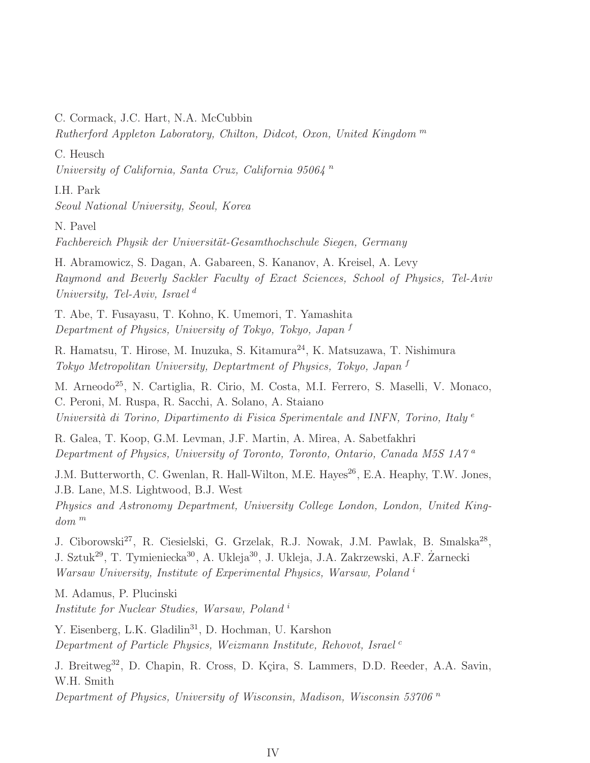C. Cormack, J.C. Hart, N.A. McCubbin

Rutherford Appleton Laboratory, Chilton, Didcot, Oxon, United Kingdom <sup>m</sup>

C. Heusch

University of California, Santa Cruz, California  $9506\frac{1}{4}$ <sup>n</sup>

I.H. Park

Seoul National University, Seoul, Korea

N. Pavel

Fachbereich Physik der Universität-Gesamthochschule Siegen, Germany

H. Abramowicz, S. Dagan, A. Gabareen, S. Kananov, A. Kreisel, A. Levy Raymond and Beverly Sackler Faculty of Exact Sciences, School of Physics, Tel-Aviv University, Tel-Aviv, Israel<sup>d</sup>

T. Abe, T. Fusayasu, T. Kohno, K. Umemori, T. Yamashita Department of Physics, University of Tokyo, Tokyo, Japan <sup>f</sup>

R. Hamatsu, T. Hirose, M. Inuzuka, S. Kitamura<sup>24</sup>, K. Matsuzawa, T. Nishimura Tokyo Metropolitan University, Deptartment of Physics, Tokyo, Japan <sup>f</sup>

M. Arneodo<sup>25</sup>, N. Cartiglia, R. Cirio, M. Costa, M.I. Ferrero, S. Maselli, V. Monaco, C. Peroni, M. Ruspa, R. Sacchi, A. Solano, A. Staiano Università di Torino, Dipartimento di Fisica Sperimentale and INFN, Torino, Italy  $e$ 

R. Galea, T. Koop, G.M. Levman, J.F. Martin, A. Mirea, A. Sabetfakhri Department of Physics, University of Toronto, Toronto, Ontario, Canada M5S 1A7 <sup>a</sup>

J.M. Butterworth, C. Gwenlan, R. Hall-Wilton, M.E. Hayes<sup>26</sup>, E.A. Heaphy, T.W. Jones, J.B. Lane, M.S. Lightwood, B.J. West

Physics and Astronomy Department, University College London, London, United Kingdom <sup>m</sup>

J. Ciborowski<sup>27</sup>, R. Ciesielski, G. Grzelak, R.J. Nowak, J.M. Pawlak, B. Smalska<sup>28</sup>, J. Sztuk<sup>29</sup>, T. Tymieniecka<sup>30</sup>, A. Ukleja<sup>30</sup>, J. Ukleja, J.A. Zakrzewski, A.F. Żarnecki Warsaw University, Institute of Experimental Physics, Warsaw, Poland <sup>i</sup>

M. Adamus, P. Plucinski Institute for Nuclear Studies, Warsaw, Poland <sup>i</sup>

Y. Eisenberg, L.K. Gladilin<sup>31</sup>, D. Hochman, U. Karshon Department of Particle Physics, Weizmann Institute, Rehovot, Israel<sup>c</sup>

J. Breitweg<sup>32</sup>, D. Chapin, R. Cross, D. Kçira, S. Lammers, D.D. Reeder, A.A. Savin, W.H. Smith

Department of Physics, University of Wisconsin, Madison, Wisconsin 53706<sup>n</sup>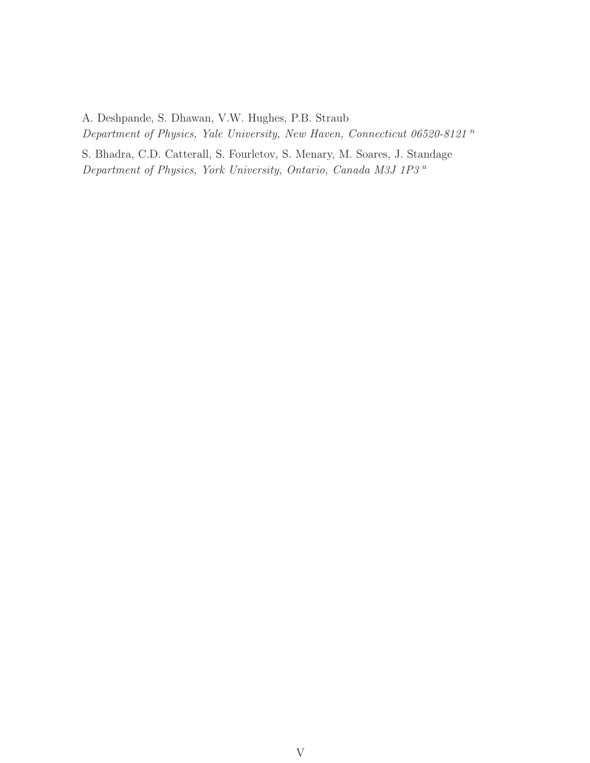A. Deshpande, S. Dhawan, V.W. Hughes, P.B. Straub Department of Physics, Yale University, New Haven, Connecticut 06520-8121  $\emph{n}$ 

S. Bhadra, C.D. Catterall, S. Fourletov, S. Menary, M. Soares, J. Standage Department of Physics, York University, Ontario, Canada M3J 1P3 <sup>a</sup>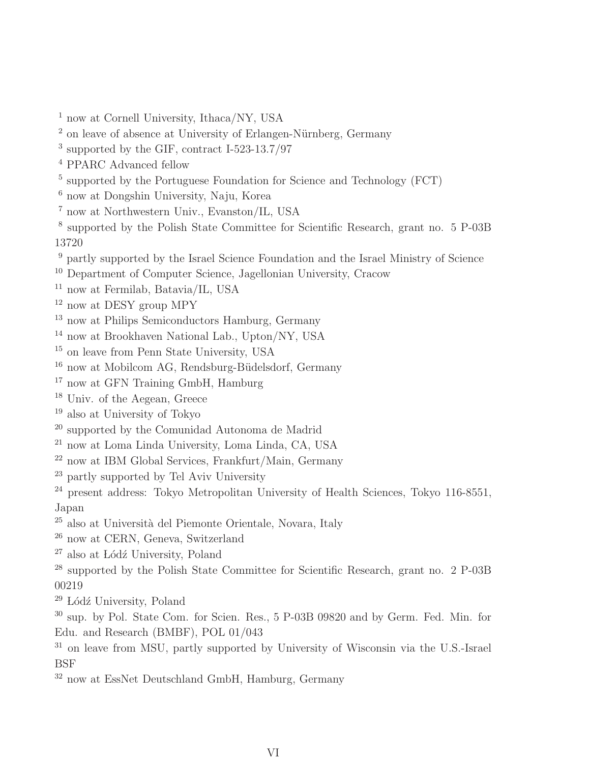- <sup>1</sup> now at Cornell University, Ithaca/NY, USA
- on leave of absence at University of Erlangen-Nürnberg, Germany
- supported by the GIF, contract I-523-13.7/97
- PPARC Advanced fellow
- <sup>5</sup> supported by the Portuguese Foundation for Science and Technology (FCT)
- now at Dongshin University, Naju, Korea
- now at Northwestern Univ., Evanston/IL, USA
- supported by the Polish State Committee for Scientific Research, grant no. 5 P-03B
- partly supported by the Israel Science Foundation and the Israel Ministry of Science
- Department of Computer Science, Jagellonian University, Cracow
- now at Fermilab, Batavia/IL, USA
- <sup>12</sup> now at DESY group MPY
- $^{13}$  now at Philips Semiconductors Hamburg, Germany
- now at Brookhaven National Lab., Upton/NY, USA
- on leave from Penn State University, USA
- $^{16}$ now at Mobilcom AG, Rendsburg-Büdelsdorf, Germany
- <sup>17</sup> now at GFN Training GmbH, Hamburg
- Univ. of the Aegean, Greece
- also at University of Tokyo
- <sup>20</sup> supported by the Comunidad Autonoma de Madrid
- now at Loma Linda University, Loma Linda, CA, USA
- now at IBM Global Services, Frankfurt/Main, Germany
- partly supported by Tel Aviv University
- <sup>24</sup> present address: Tokyo Metropolitan University of Health Sciences, Tokyo 116-8551, Japan
- <sup>25</sup> also at Università del Piemonte Orientale, Novara, Italy
- now at CERN, Geneva, Switzerland
- also at Lódź University, Poland
- supported by the Polish State Committee for Scientific Research, grant no. 2 P-03B
- Lódź University, Poland
- sup. by Pol. State Com. for Scien. Res., 5 P-03B 09820 and by Germ. Fed. Min. for Edu. and Research (BMBF), POL 01/043
- <sup>31</sup> on leave from MSU, partly supported by University of Wisconsin via the U.S.-Israel BSF
- now at EssNet Deutschland GmbH, Hamburg, Germany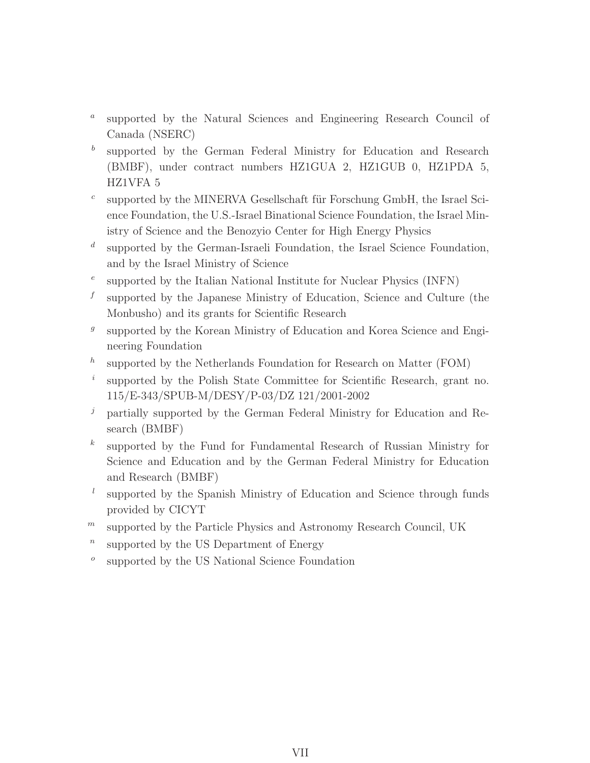- $\boldsymbol{a}$ supported by the Natural Sciences and Engineering Research Council of Canada (NSERC)
- b supported by the German Federal Ministry for Education and Research (BMBF), under contract numbers HZ1GUA 2, HZ1GUB 0, HZ1PDA 5, HZ1VFA 5
- c supported by the MINERVA Gesellschaft für Forschung GmbH, the Israel Science Foundation, the U.S.-Israel Binational Science Foundation, the Israel Ministry of Science and the Benozyio Center for High Energy Physics
- d supported by the German-Israeli Foundation, the Israel Science Foundation, and by the Israel Ministry of Science
- e supported by the Italian National Institute for Nuclear Physics (INFN)
- f supported by the Japanese Ministry of Education, Science and Culture (the Monbusho) and its grants for Scientific Research
- $g$ supported by the Korean Ministry of Education and Korea Science and Engineering Foundation
- h supported by the Netherlands Foundation for Research on Matter (FOM)
- i supported by the Polish State Committee for Scientific Research, grant no. 115/E-343/SPUB-M/DESY/P-03/DZ 121/2001-2002
- $j$  partially supported by the German Federal Ministry for Education and Research (BMBF)
- $k<sub>1</sub>$ supported by the Fund for Fundamental Research of Russian Ministry for Science and Education and by the German Federal Ministry for Education and Research (BMBF)
- $l$ supported by the Spanish Ministry of Education and Science through funds provided by CICYT
- $<sup>m</sup>$  supported by the Particle Physics and Astronomy Research Council, UK</sup>
- $\boldsymbol{n}$ supported by the US Department of Energy
- o supported by the US National Science Foundation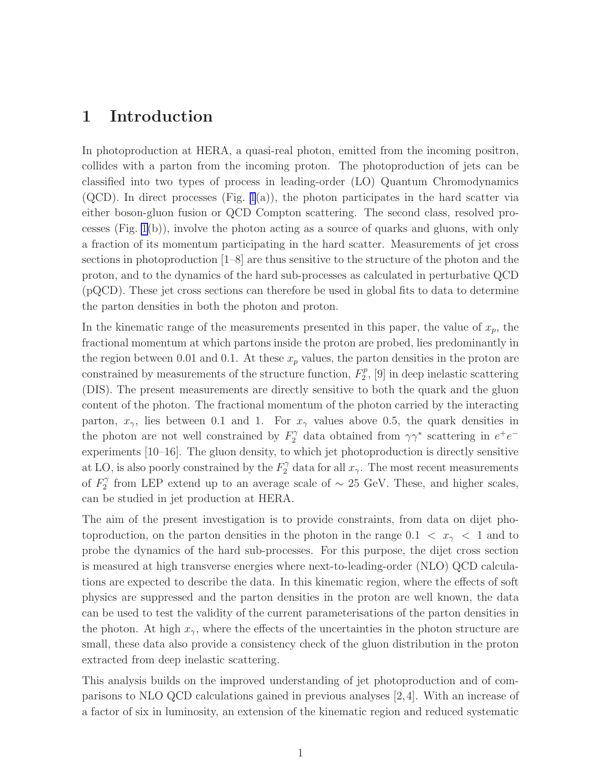#### 1 Introduction

In photoproduction at HERA, a quasi-real photon, emitted from the incoming positron, collides with a parton from the incoming proton. The photoproduction of jets can be classified into two types of process in leading-order (LO) Quantum Chromodynamics  $(QCD)$ . In direct processes (Fig. [1](#page-33-0)(a)), the photon participates in the hard scatter via either boson-gluon fusion or QCD Compton scattering. The second class, resolved processes (Fig. [1\(](#page-33-0)b)), involve the photon acting as a source of quarks and gluons, with only a fraction of its momentum participating in the hard scatter. Measurements of jet cross sections in photoproduction [1–8] are thus sensitive to the structure of the photon and the proton, and to the dynamics of the hard sub-processes as calculated in perturbative QCD (pQCD). These jet cross sections can therefore be used in global fits to data to determine the parton densities in both the photon and proton.

In the kinematic range of the measurements presented in this paper, the value of  $x_p$ , the fractional momentum at which partons inside the proton are probed, lies predominantly in the region between 0.01 and 0.1. At these  $x_p$  values, the parton densities in the proton are constrained by measurements of the structure function,  $F_2^p$  $2^p$ , [9] in deep inelastic scattering (DIS). The present measurements are directly sensitive to both the quark and the gluon content of the photon. The fractional momentum of the photon carried by the interacting parton,  $x_{\gamma}$ , lies between 0.1 and 1. For  $x_{\gamma}$  values above 0.5, the quark densities in the photon are not well constrained by  $F_2^{\gamma}$  data obtained from  $\gamma\gamma^*$  scattering in  $e^+e^$ experiments [10–16]. The gluon density, to which jet photoproduction is directly sensitive at LO, is also poorly constrained by the  $F_2^{\gamma}$  data for all  $x_{\gamma}$ . The most recent measurements of  $F_2^{\gamma}$  $\frac{2}{2}$  from LEP extend up to an average scale of  $\sim 25$  GeV. These, and higher scales, can be studied in jet production at HERA.

The aim of the present investigation is to provide constraints, from data on dijet photoproduction, on the parton densities in the photon in the range  $0.1 < x_{\gamma} < 1$  and to probe the dynamics of the hard sub-processes. For this purpose, the dijet cross section is measured at high transverse energies where next-to-leading-order (NLO) QCD calculations are expected to describe the data. In this kinematic region, where the effects of soft physics are suppressed and the parton densities in the proton are well known, the data can be used to test the validity of the current parameterisations of the parton densities in the photon. At high  $x_{\gamma}$ , where the effects of the uncertainties in the photon structure are small, these data also provide a consistency check of the gluon distribution in the proton extracted from deep inelastic scattering.

This analysis builds on the improved understanding of jet photoproduction and of comparisons to NLO QCD calculations gained in previous analyses [2,4]. With an increase of a factor of six in luminosity, an extension of the kinematic region and reduced systematic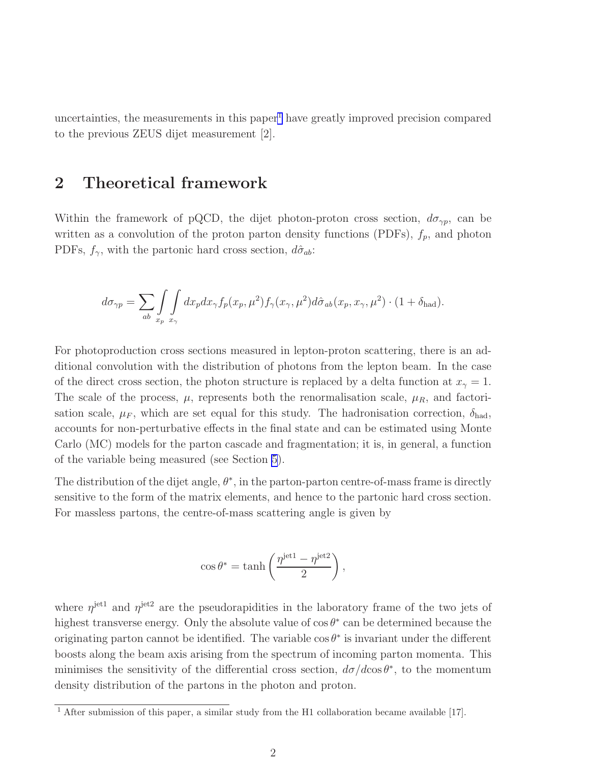uncertainties, the measurements in this paper<sup>1</sup> have greatly improved precision compared to the previous ZEUS dijet measurement [2].

### 2 Theoretical framework

Within the framework of pQCD, the dijet photon-proton cross section,  $d\sigma_{\gamma p}$ , can be written as a convolution of the proton parton density functions (PDFs),  $f_p$ , and photon PDFs,  $f_{\gamma}$ , with the partonic hard cross section,  $d\hat{\sigma}_{ab}$ :

$$
d\sigma_{\gamma p} = \sum_{ab} \int_{x_p} \int_{x_\gamma} dx_p dx_\gamma f_p(x_p, \mu^2) f_\gamma(x_\gamma, \mu^2) d\hat{\sigma}_{ab}(x_p, x_\gamma, \mu^2) \cdot (1 + \delta_{\text{had}}).
$$

For photoproduction cross sections measured in lepton-proton scattering, there is an additional convolution with the distribution of photons from the lepton beam. In the case of the direct cross section, the photon structure is replaced by a delta function at  $x<sub>γ</sub> = 1$ . The scale of the process,  $\mu$ , represents both the renormalisation scale,  $\mu_R$ , and factorisation scale,  $\mu_F$ , which are set equal for this study. The hadronisation correction,  $\delta_{\text{had}}$ , accounts for non-perturbative effects in the final state and can be estimated using Monte Carlo (MC) models for the parton cascade and fragmentation; it is, in general, a function of the variable being measured (see Section [5](#page-12-0)).

The distribution of the dijet angle,  $\theta^*$ , in the parton-parton centre-of-mass frame is directly sensitive to the form of the matrix elements, and hence to the partonic hard cross section. For massless partons, the centre-of-mass scattering angle is given by

$$
\cos \theta^* = \tanh \left( \frac{\eta^{\text{jet1}} - \eta^{\text{jet2}}}{2} \right),\,
$$

where  $\eta^{\text{jet1}}$  and  $\eta^{\text{jet2}}$  are the pseudorapidities in the laboratory frame of the two jets of highest transverse energy. Only the absolute value of  $\cos \theta^*$  can be determined because the originating parton cannot be identified. The variable  $\cos \theta^*$  is invariant under the different boosts along the beam axis arising from the spectrum of incoming parton momenta. This minimises the sensitivity of the differential cross section,  $d\sigma/d\cos\theta^*$ , to the momentum density distribution of the partons in the photon and proton.

 $\frac{1}{1}$  After submission of this paper, a similar study from the H1 collaboration became available [17].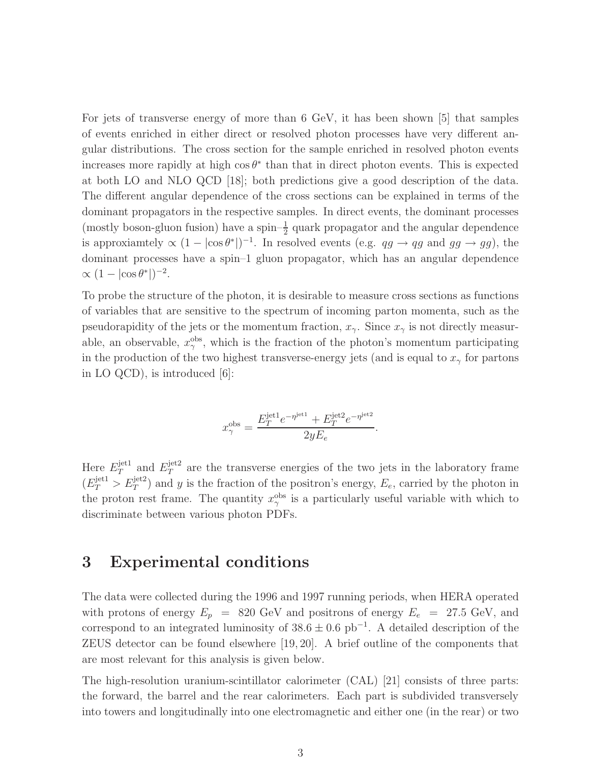For jets of transverse energy of more than 6 GeV, it has been shown [5] that samples of events enriched in either direct or resolved photon processes have very different angular distributions. The cross section for the sample enriched in resolved photon events increases more rapidly at high  $\cos \theta^*$  than that in direct photon events. This is expected at both LO and NLO QCD [18]; both predictions give a good description of the data. The different angular dependence of the cross sections can be explained in terms of the dominant propagators in the respective samples. In direct events, the dominant processes (mostly boson-gluon fusion) have a spin- $\frac{1}{2}$  quark propagator and the angular dependence is approxiantely  $\propto (1 - |\cos \theta^*|)^{-1}$ . In resolved events (e.g.  $qg \to qg$  and  $gg \to gg$ ), the dominant processes have a spin–1 gluon propagator, which has an angular dependence  $\propto (1 - |\cos \theta^*|)^{-2}.$ 

To probe the structure of the photon, it is desirable to measure cross sections as functions of variables that are sensitive to the spectrum of incoming parton momenta, such as the pseudorapidity of the jets or the momentum fraction,  $x_{\gamma}$ . Since  $x_{\gamma}$  is not directly measurable, an observable,  $x_{\gamma}^{\text{obs}}$ , which is the fraction of the photon's momentum participating in the production of the two highest transverse-energy jets (and is equal to  $x_{\gamma}$  for partons in LO QCD), is introduced  $|6|$ :

$$
x_\gamma^{\rm obs} = \frac{E_T^{\rm jet1} e^{-\eta^{\rm jet1}} + E_T^{\rm jet2} e^{-\eta^{\rm jet2}}}{2y E_e}.
$$

Here  $E_T^{\text{jet1}}$  $T^{\text{jet1}}$  and  $E_T^{\text{jet2}}$  $T<sup>jet2</sup>$  are the transverse energies of the two jets in the laboratory frame  $(E_T^{\text{jet1}} > E_T^{\text{jet2}})$  and y is the fraction of the positron's energy,  $E_e$ , carried by the photon in the proton rest frame. The quantity  $x_{\gamma}^{\text{obs}}$  is a particularly useful variable with which to discriminate between various photon PDFs.

#### 3 Experimental conditions

The data were collected during the 1996 and 1997 running periods, when HERA operated with protons of energy  $E_p$  = 820 GeV and positrons of energy  $E_e$  = 27.5 GeV, and correspond to an integrated luminosity of  $38.6 \pm 0.6$  pb<sup>-1</sup>. A detailed description of the ZEUS detector can be found elsewhere [19,20]. A brief outline of the components that are most relevant for this analysis is given below.

The high-resolution uranium-scintillator calorimeter (CAL) [21] consists of three parts: the forward, the barrel and the rear calorimeters. Each part is subdivided transversely into towers and longitudinally into one electromagnetic and either one (in the rear) or two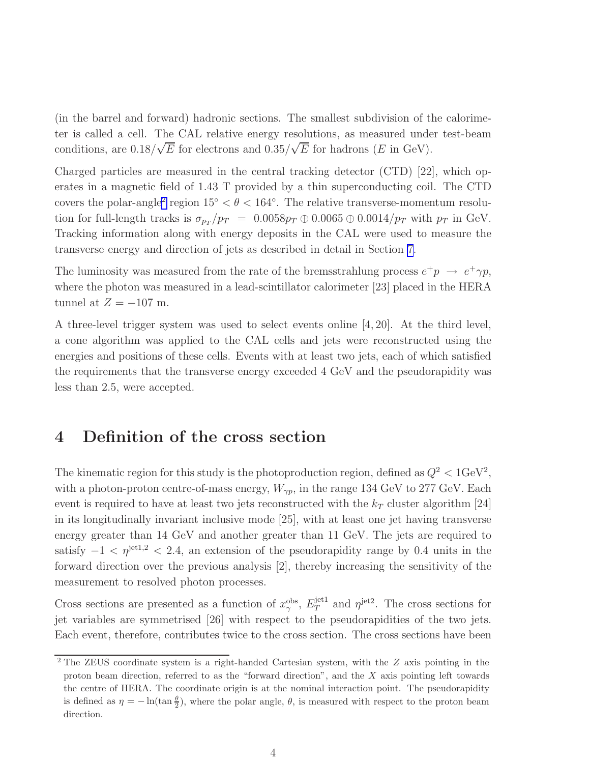<span id="page-11-0"></span>(in the barrel and forward) hadronic sections. The smallest subdivision of the calorimeter is called a cell. The CAL relative energy resolutions, as measured under test-beam conditions, are  $0.18/\sqrt{E}$  for electrons and  $0.35/\sqrt{E}$  for hadrons (E in GeV).

Charged particles are measured in the central tracking detector (CTD) [22], which operates in a magnetic field of 1.43 T provided by a thin superconducting coil. The CTD covers the polar-angle<sup>2</sup> region  $15° < \theta < 164°$ . The relative transverse-momentum resolution for full-length tracks is  $\sigma_{p_T}/p_T = 0.0058p_T \oplus 0.0065 \oplus 0.0014/p_T$  with  $p_T$  in GeV. Tracking information along with energy deposits in the CAL were used to measure the transverse energy and direction of jets as described in detail in Section [7](#page-13-0).

The luminosity was measured from the rate of the bremsstrahlung process  $e^+p \rightarrow e^+\gamma p$ , where the photon was measured in a lead-scintillator calorimeter [23] placed in the HERA tunnel at  $Z = -107$  m.

A three-level trigger system was used to select events online [4,20]. At the third level, a cone algorithm was applied to the CAL cells and jets were reconstructed using the energies and positions of these cells. Events with at least two jets, each of which satisfied the requirements that the transverse energy exceeded 4 GeV and the pseudorapidity was less than 2.5, were accepted.

### 4 Definition of the cross section

The kinematic region for this study is the photoproduction region, defined as  $Q^2 < 1$ GeV<sup>2</sup>, with a photon-proton centre-of-mass energy,  $W_{\gamma p}$ , in the range 134 GeV to 277 GeV. Each event is required to have at least two jets reconstructed with the  $k_T$  cluster algorithm [24] in its longitudinally invariant inclusive mode [25], with at least one jet having transverse energy greater than 14 GeV and another greater than 11 GeV. The jets are required to satisfy  $-1 < \eta^{\text{jet1,2}} < 2.4$ , an extension of the pseudorapidity range by 0.4 units in the forward direction over the previous analysis [2], thereby increasing the sensitivity of the measurement to resolved photon processes.

Cross sections are presented as a function of  $x_{\gamma}^{\text{obs}}, E_T^{\text{jet1}}$  $T<sup>jet1</sup>$  and  $\eta^{jet2}$ . The cross sections for jet variables are symmetrised [26] with respect to the pseudorapidities of the two jets. Each event, therefore, contributes twice to the cross section. The cross sections have been

<sup>&</sup>lt;sup>2</sup> The ZEUS coordinate system is a right-handed Cartesian system, with the Z axis pointing in the proton beam direction, referred to as the "forward direction", and the X axis pointing left towards the centre of HERA. The coordinate origin is at the nominal interaction point. The pseudorapidity is defined as  $\eta = -\ln(\tan \frac{\theta}{2})$ , where the polar angle,  $\theta$ , is measured with respect to the proton beam direction.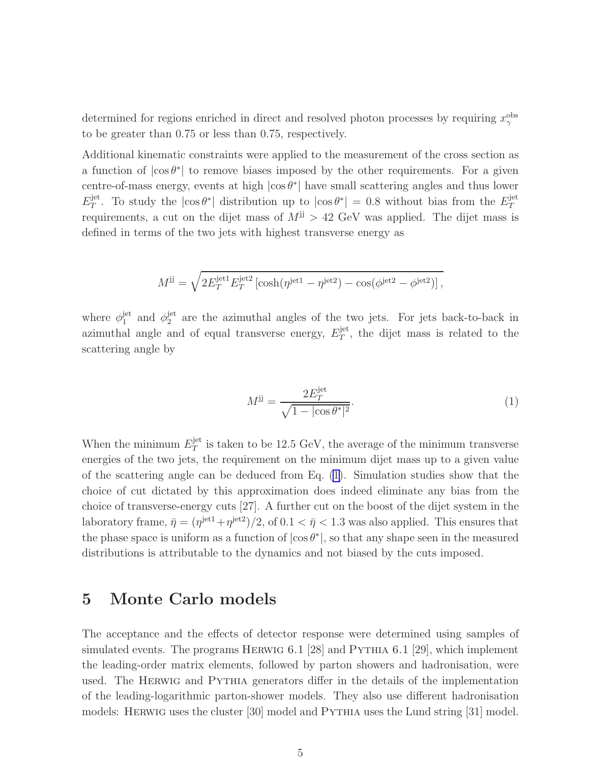<span id="page-12-0"></span>determined for regions enriched in direct and resolved photon processes by requiring  $x_{\gamma}^{\text{obs}}$ to be greater than 0.75 or less than 0.75, respectively.

Additional kinematic constraints were applied to the measurement of the cross section as a function of  $|\cos \theta^*|$  to remove biases imposed by the other requirements. For a given centre-of-mass energy, events at high  $|\cos \theta^*|$  have small scattering angles and thus lower  $E_T^{\rm jet}$ <sup>jet</sup>. To study the  $|\cos \theta^*|$  distribution up to  $|\cos \theta^*| = 0.8$  without bias from the  $E_T^{\text{jet}}$ T requirements, a cut on the dijet mass of  $M^{jj} > 42$  GeV was applied. The dijet mass is defined in terms of the two jets with highest transverse energy as

$$
M^{jj} = \sqrt{2E_T^{\text{jet1}} E_T^{\text{jet2}} \left[ \cosh(\eta^{\text{jet1}} - \eta^{\text{jet2}}) - \cos(\phi^{\text{jet2}} - \phi^{\text{jet2}}) \right]},
$$

where  $\phi_1^{\text{jet}}$  $j_1^{\text{jet}}$  and  $\phi_2^{\text{jet}}$  $_2^{\text{jet}}$  are the azimuthal angles of the two jets. For jets back-to-back in azimuthal angle and of equal transverse energy,  $E_T^{\text{jet}}$  $T^{\text{jet}}$ , the dijet mass is related to the scattering angle by

$$
M^{jj} = \frac{2E_T^{\text{jet}}}{\sqrt{1 - |\cos \theta^*|^2}}.\tag{1}
$$

When the minimum  $E_T^{\text{jet}}$  $T^{\text{jet}}$  is taken to be 12.5 GeV, the average of the minimum transverse energies of the two jets, the requirement on the minimum dijet mass up to a given value of the scattering angle can be deduced from Eq. (1). Simulation studies show that the choice of cut dictated by this approximation does indeed eliminate any bias from the choice of transverse-energy cuts [27]. A further cut on the boost of the dijet system in the laboratory frame,  $\bar{\eta} = (\eta^{\rm jet1} + \eta^{\rm jet2})/2$ , of  $0.1 < \bar{\eta} < 1.3$  was also applied. This ensures that the phase space is uniform as a function of  $|\cos \theta^*|$ , so that any shape seen in the measured distributions is attributable to the dynamics and not biased by the cuts imposed.

#### 5 Monte Carlo models

The acceptance and the effects of detector response were determined using samples of simulated events. The programs HERWIG 6.1 [28] and PYTHIA 6.1 [29], which implement the leading-order matrix elements, followed by parton showers and hadronisation, were used. The Herwig and Pythia generators differ in the details of the implementation of the leading-logarithmic parton-shower models. They also use different hadronisation models: HERWIG uses the cluster [30] model and PYTHIA uses the Lund string [31] model.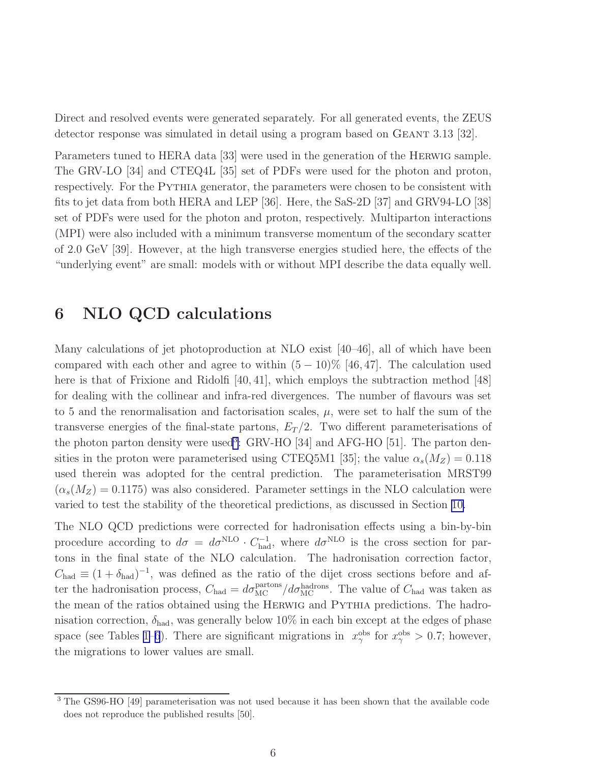<span id="page-13-0"></span>Direct and resolved events were generated separately. For all generated events, the ZEUS detector response was simulated in detail using a program based on GEANT 3.13 [32].

Parameters tuned to HERA data [33] were used in the generation of the Herwig sample. The GRV-LO [34] and CTEQ4L [35] set of PDFs were used for the photon and proton, respectively. For the PYTHIA generator, the parameters were chosen to be consistent with fits to jet data from both HERA and LEP [36]. Here, the SaS-2D [37] and GRV94-LO [38] set of PDFs were used for the photon and proton, respectively. Multiparton interactions (MPI) were also included with a minimum transverse momentum of the secondary scatter of 2.0 GeV [39]. However, at the high transverse energies studied here, the effects of the "underlying event" are small: models with or without MPI describe the data equally well.

### 6 NLO QCD calculations

Many calculations of jet photoproduction at NLO exist [40–46], all of which have been compared with each other and agree to within  $(5 - 10)\%$  [46,47]. The calculation used here is that of Frixione and Ridolfi [40, 41], which employs the subtraction method [48] for dealing with the collinear and infra-red divergences. The number of flavours was set to 5 and the renormalisation and factorisation scales,  $\mu$ , were set to half the sum of the transverse energies of the final-state partons,  $E_T/2$ . Two different parameterisations of the photon parton density were used<sup>3</sup>: GRV-HO [34] and AFG-HO [51]. The parton densities in the proton were parameterised using CTEQ5M1 [35]; the value  $\alpha_s(M_Z) = 0.118$ used therein was adopted for the central prediction. The parameterisation MRST99  $(\alpha_s(M_Z) = 0.1175)$  was also considered. Parameter settings in the NLO calculation were varied to test the stability of the theoretical predictions, as discussed in Section [10.](#page-16-0)

The NLO QCD predictions were corrected for hadronisation effects using a bin-by-bin procedure according to  $d\sigma = d\sigma^{NLO} \cdot C_{\text{had}}^{-1}$ , where  $d\sigma^{NLO}$  is the cross section for partons in the final state of the NLO calculation. The hadronisation correction factor,  $C_{\text{had}} \equiv (1 + \delta_{\text{had}})^{-1}$ , was defined as the ratio of the dijet cross sections before and after the hadronisation process,  $C_{\text{had}} = d\sigma_{\text{MC}}^{\text{partons}}/d\sigma_{\text{MC}}^{\text{hadrons}}$ . The value of  $C_{\text{had}}$  was taken as the mean of the ratios obtained using the HERWIG and PYTHIA predictions. The hadronisation correction,  $\delta_{\text{had}}$ , was generally below 10% in each bin except at the edges of phase space (see Tables [1–](#page-25-0)[6](#page-32-0)). There are significant migrations in  $x_\gamma^{\text{obs}}$  for  $x_\gamma^{\text{obs}} > 0.7$ ; however, the migrations to lower values are small.

<sup>3</sup> The GS96-HO [49] parameterisation was not used because it has been shown that the available code does not reproduce the published results [50].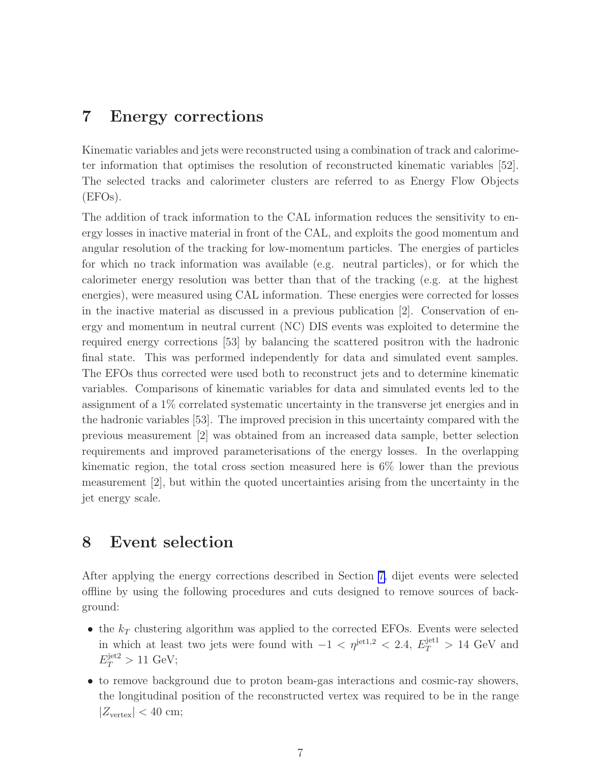### <span id="page-14-0"></span>7 Energy corrections

Kinematic variables and jets were reconstructed using a combination of track and calorimeter information that optimises the resolution of reconstructed kinematic variables [52]. The selected tracks and calorimeter clusters are referred to as Energy Flow Objects (EFOs).

The addition of track information to the CAL information reduces the sensitivity to energy losses in inactive material in front of the CAL, and exploits the good momentum and angular resolution of the tracking for low-momentum particles. The energies of particles for which no track information was available (e.g. neutral particles), or for which the calorimeter energy resolution was better than that of the tracking (e.g. at the highest energies), were measured using CAL information. These energies were corrected for losses in the inactive material as discussed in a previous publication [2]. Conservation of energy and momentum in neutral current (NC) DIS events was exploited to determine the required energy corrections [53] by balancing the scattered positron with the hadronic final state. This was performed independently for data and simulated event samples. The EFOs thus corrected were used both to reconstruct jets and to determine kinematic variables. Comparisons of kinematic variables for data and simulated events led to the assignment of a 1% correlated systematic uncertainty in the transverse jet energies and in the hadronic variables [53]. The improved precision in this uncertainty compared with the previous measurement [2] was obtained from an increased data sample, better selection requirements and improved parameterisations of the energy losses. In the overlapping kinematic region, the total cross section measured here is 6% lower than the previous measurement [2], but within the quoted uncertainties arising from the uncertainty in the jet energy scale.

#### 8 Event selection

After applying the energy corrections described in Section [7,](#page-13-0) dijet events were selected offline by using the following procedures and cuts designed to remove sources of background:

- the  $k_T$  clustering algorithm was applied to the corrected EFOs. Events were selected in which at least two jets were found with  $-1 < \eta^{jet1,2} < 2.4$ ,  $E_T^{jet1} > 14$  GeV and  $E_T^{\text{jet2}} > 11 \text{ GeV};$
- to remove background due to proton beam-gas interactions and cosmic-ray showers, the longitudinal position of the reconstructed vertex was required to be in the range  $|Z_{\text{vertex}}| < 40 \text{ cm};$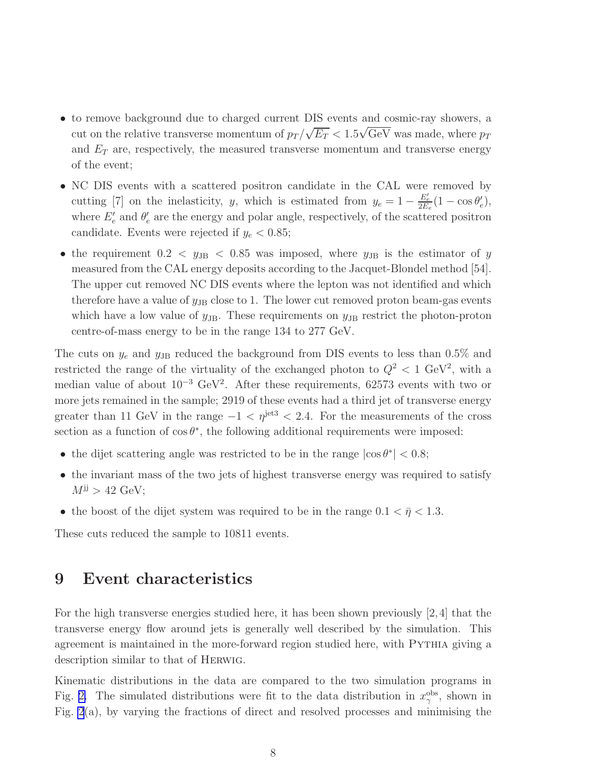- to remove background due to charged current DIS events and cosmic-ray showers, a cut on the relative transverse momentum of  $p_T / \sqrt{E_T} < 1.5 \sqrt{\text{GeV}}$  was made, where  $p_T$ and  $E_T$  are, respectively, the measured transverse momentum and transverse energy of the event;
- NC DIS events with a scattered positron candidate in the CAL were removed by cutting [7] on the inelasticity, y, which is estimated from  $y_e = 1 - \frac{E'_e}{2E_e}(1 - \cos\theta'_e)$  $'_{e}),$ where  $E'_e$  and  $\theta'_e$  $e'$  are the energy and polar angle, respectively, of the scattered positron candidate. Events were rejected if  $y_e < 0.85$ ;
- the requirement  $0.2 < y_{\text{JB}} < 0.85$  was imposed, where  $y_{\text{JB}}$  is the estimator of y measured from the CAL energy deposits according to the Jacquet-Blondel method [54]. The upper cut removed NC DIS events where the lepton was not identified and which therefore have a value of  $y_{\text{JB}}$  close to 1. The lower cut removed proton beam-gas events which have a low value of  $y_{\text{JB}}$ . These requirements on  $y_{\text{JB}}$  restrict the photon-proton centre-of-mass energy to be in the range 134 to 277 GeV.

The cuts on  $y_e$  and  $y_{\text{JB}}$  reduced the background from DIS events to less than 0.5% and restricted the range of the virtuality of the exchanged photon to  $Q^2 < 1$  GeV<sup>2</sup>, with a median value of about  $10^{-3}$  GeV<sup>2</sup>. After these requirements, 62573 events with two or more jets remained in the sample; 2919 of these events had a third jet of transverse energy greater than 11 GeV in the range  $-1 < \eta^{\text{jet3}} < 2.4$ . For the measurements of the cross section as a function of  $\cos \theta^*$ , the following additional requirements were imposed:

- the dijet scattering angle was restricted to be in the range  $|\cos \theta^*| < 0.8$ ;
- the invariant mass of the two jets of highest transverse energy was required to satisfy  $M^{jj} > 42$  GeV;
- the boost of the dijet system was required to be in the range  $0.1 < \bar{\eta} < 1.3$ .

These cuts reduced the sample to 10811 events.

#### 9 Event characteristics

For the high transverse energies studied here, it has been shown previously [2,4] that the transverse energy flow around jets is generally well described by the simulation. This agreement is maintained in the more-forward region studied here, with Pythia giving a description similar to that of Herwig.

Kinematic distributions in the data are compared to the two simulation programs in Fig. [2.](#page-34-0) The simulated distributions were fit to the data distribution in  $x_{\gamma}^{\text{obs}}$ , shown in Fig.  $2(a)$ , by varying the fractions of direct and resolved processes and minimising the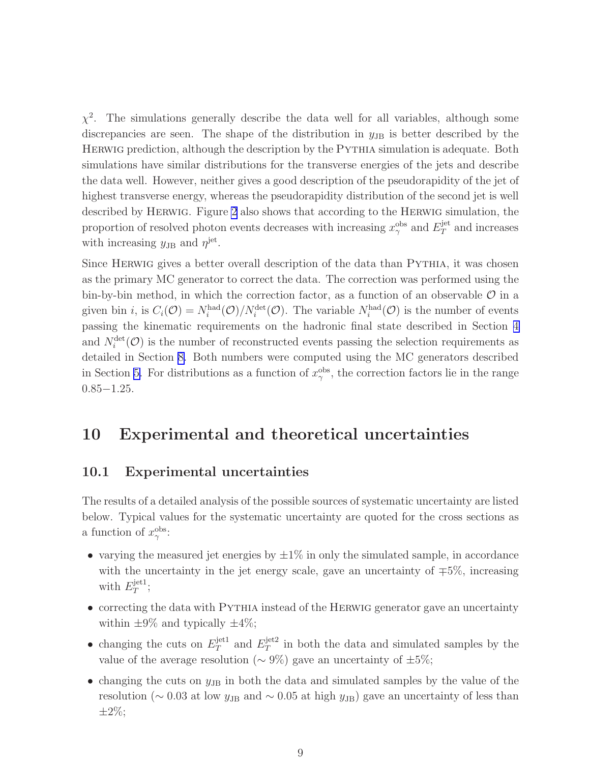<span id="page-16-0"></span> $\chi^2$ . The simulations generally describe the data well for all variables, although some discrepancies are seen. The shape of the distribution in  $y_{\text{JB}}$  is better described by the HERWIG prediction, although the description by the PYTHIA simulation is adequate. Both simulations have similar distributions for the transverse energies of the jets and describe the data well. However, neither gives a good description of the pseudorapidity of the jet of highest transverse energy, whereas the pseudorapidity distribution of the second jet is well described by Herwig. Figure [2](#page-34-0) also shows that according to the Herwig simulation, the proportion of resolved photon events decreases with increasing  $x_{\gamma}^{\mathrm{obs}}$  and  $E_T^{\mathrm{jet}}$  $T^{\text{jet}}$  and increases with increasing  $y_{\text{JB}}$  and  $\eta^{\text{jet}}$ .

Since HERWIG gives a better overall description of the data than PYTHIA, it was chosen as the primary MC generator to correct the data. The correction was performed using the bin-by-bin method, in which the correction factor, as a function of an observable  $\mathcal O$  in a given bin *i*, is  $C_i(\mathcal{O}) = N_i^{\text{had}}(\mathcal{O})/N_i^{\text{det}}(\mathcal{O})$ . The variable  $N_i^{\text{had}}(\mathcal{O})$  is the number of events passing the kinematic requirements on the hadronic final state described in Section [4](#page-11-0) and  $N_i^{\text{det}}(\mathcal{O})$  is the number of reconstructed events passing the selection requirements as detailed in Section [8.](#page-14-0) Both numbers were computed using the MC generators described in Section [5.](#page-12-0) For distributions as a function of  $x_{\gamma}^{\text{obs}}$ , the correction factors lie in the range 0.85−1.25.

### 10 Experimental and theoretical uncertainties

#### 10.1 Experimental uncertainties

The results of a detailed analysis of the possible sources of systematic uncertainty are listed below. Typical values for the systematic uncertainty are quoted for the cross sections as a function of  $x_\gamma^{\text{obs}}$ :

- varying the measured jet energies by  $\pm 1\%$  in only the simulated sample, in accordance with the uncertainty in the jet energy scale, gave an uncertainty of  $\mp 5\%$ , increasing with  $E_T^{\text{jet1}}$  $T^{\text{jet1}};$
- correcting the data with PYTHIA instead of the HERWIG generator gave an uncertainty within  $\pm 9\%$  and typically  $\pm 4\%$ ;
- changing the cuts on  $E_T^{\text{jet1}}$  $T^{\text{jet1}}$  and  $E_T^{\text{jet2}}$  $T<sup>jet2</sup>$  in both the data and simulated samples by the value of the average resolution ( $\sim$  9%) gave an uncertainty of  $\pm$ 5%;
- changing the cuts on  $y_{\text{JB}}$  in both the data and simulated samples by the value of the resolution ( $\sim 0.03$  at low  $y_{\text{JB}}$  and  $\sim 0.05$  at high  $y_{\text{JB}}$ ) gave an uncertainty of less than  $\pm 2\%$ ;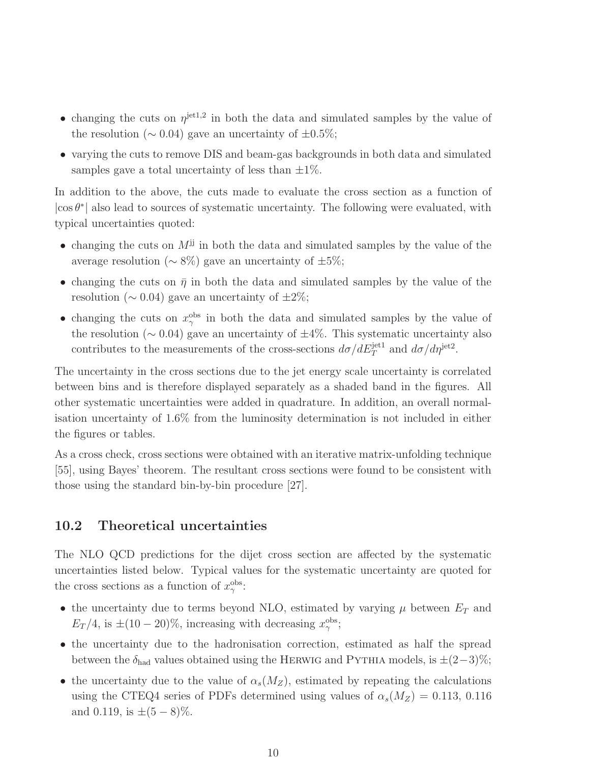- <span id="page-17-0"></span>• changing the cuts on  $\eta^{jet1,2}$  in both the data and simulated samples by the value of the resolution ( $\sim 0.04$ ) gave an uncertainty of  $\pm 0.5\%$ ;
- varying the cuts to remove DIS and beam-gas backgrounds in both data and simulated samples gave a total uncertainty of less than  $\pm 1\%$ .

In addition to the above, the cuts made to evaluate the cross section as a function of  $|\!\cos\theta^*|\!|$  also lead to sources of systematic uncertainty. The following were evaluated, with typical uncertainties quoted:

- changing the cuts on  $M^{jj}$  in both the data and simulated samples by the value of the average resolution ( $\sim 8\%$ ) gave an uncertainty of  $\pm 5\%$ ;
- changing the cuts on  $\bar{\eta}$  in both the data and simulated samples by the value of the resolution ( $\sim 0.04$ ) gave an uncertainty of  $\pm 2\%$ ;
- changing the cuts on  $x_{\gamma}^{\text{obs}}$  in both the data and simulated samples by the value of the resolution ( $\sim$  0.04) gave an uncertainty of  $\pm 4\%$ . This systematic uncertainty also contributes to the measurements of the cross-sections  $d\sigma/dE_T^{\text{jet1}}$  and  $d\sigma/d\eta^{\text{jet2}}$ .

The uncertainty in the cross sections due to the jet energy scale uncertainty is correlated between bins and is therefore displayed separately as a shaded band in the figures. All other systematic uncertainties were added in quadrature. In addition, an overall normalisation uncertainty of 1.6% from the luminosity determination is not included in either the figures or tables.

As a cross check, cross sections were obtained with an iterative matrix-unfolding technique [55], using Bayes' theorem. The resultant cross sections were found to be consistent with those using the standard bin-by-bin procedure [27].

#### 10.2 Theoretical uncertainties

The NLO QCD predictions for the dijet cross section are affected by the systematic uncertainties listed below. Typical values for the systematic uncertainty are quoted for the cross sections as a function of  $x_\gamma^{\text{obs}}$ :

- the uncertainty due to terms beyond NLO, estimated by varying  $\mu$  between  $E_T$  and  $E_T/4$ , is  $\pm (10-20)\%$ , increasing with decreasing  $x_\gamma^{\text{obs}}$ ;
- the uncertainty due to the hadronisation correction, estimated as half the spread between the  $\delta_{\text{had}}$  values obtained using the HERWIG and PYTHIA models, is  $\pm (2-3)\%$ ;
- the uncertainty due to the value of  $\alpha_s(M_Z)$ , estimated by repeating the calculations using the CTEQ4 series of PDFs determined using values of  $\alpha_s(M_Z) = 0.113, 0.116$ and 0.119, is  $\pm(5-8)\%$ .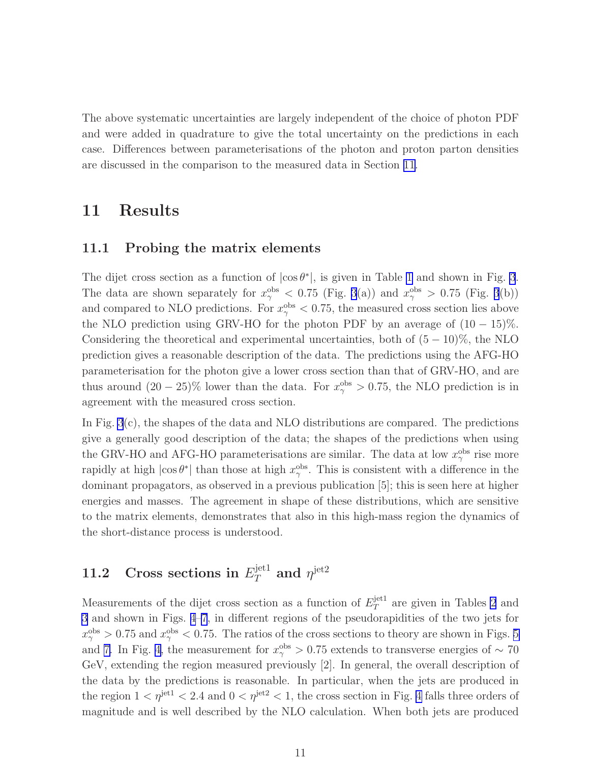The above systematic uncertainties are largely independent of the choice of photon PDF and were added in quadrature to give the total uncertainty on the predictions in each case. Differences between parameterisations of the photon and proton parton densities are discussed in the comparison to the measured data in Section 11.

## 11 Results

#### 11.1 Probing the matrix elements

The dijet cross section as a function of  $|\cos \theta^*|$ , is given in Table [1](#page-25-0) and shown in Fig. [3](#page-35-0). The data are shown separately for  $x_{\gamma}^{\text{obs}} < 0.75$  (Fig. [3](#page-35-0)(a)) and  $x_{\gamma}^{\text{obs}} > 0.75$  (Fig. 3(b)) and compared to NLO predictions. For  $x_{\gamma}^{\text{obs}} < 0.75$ , the measured cross section lies above the NLO prediction using GRV-HO for the photon PDF by an average of  $(10 - 15)\%$ . Considering the theoretical and experimental uncertainties, both of  $(5 - 10)\%$ , the NLO prediction gives a reasonable description of the data. The predictions using the AFG-HO parameterisation for the photon give a lower cross section than that of GRV-HO, and are thus around  $(20-25)\%$  lower than the data. For  $x_{\gamma}^{\text{obs}} > 0.75$ , the NLO prediction is in agreement with the measured cross section.

In Fig. [3](#page-35-0)(c), the shapes of the data and NLO distributions are compared. The predictions give a generally good description of the data; the shapes of the predictions when using the GRV-HO and AFG-HO parameterisations are similar. The data at low  $x_{\gamma}^{\text{obs}}$  rise more rapidly at high  $|\cos \theta^*|$  than those at high  $x_\gamma^{\text{obs}}$ . This is consistent with a difference in the dominant propagators, as observed in a previous publication [5]; this is seen here at higher energies and masses. The agreement in shape of these distributions, which are sensitive to the matrix elements, demonstrates that also in this high-mass region the dynamics of the short-distance process is understood.

#### 11.2 Cross sections in  $E_T^{\text{jet1}}$  $\eta_T^{\text{jet1}}$  and  $\eta^{\text{jet2}}$

Measurements of the dijet cross section as a function of  $E_T^{\text{jet1}}$  $T^{\text{jet1}}$  are given in Tables [2](#page-27-0) and [3](#page-29-0) and shown in Figs. [4](#page-36-0)[–7](#page-39-0), in different regions of the pseudorapidities of the two jets for  $x_{\gamma}^{\text{obs}} > 0.75$  and  $x_{\gamma}^{\text{obs}} < 0.75$ . The ratios of the cross sections to theory are shown in Figs. [5](#page-37-0) and [7.](#page-39-0) In Fig. [4,](#page-36-0) the measurement for  $x_{\gamma}^{\text{obs}} > 0.75$  extends to transverse energies of ~ 70 GeV, extending the region measured previously [2]. In general, the overall description of the data by the predictions is reasonable. In particular, when the jets are produced in the region  $1 < \eta^{\text{jet1}} < 2.4$  and  $0 < \eta^{\text{jet2}} < 1$ , the cross section in Fig. [4](#page-36-0) falls three orders of magnitude and is well described by the NLO calculation. When both jets are produced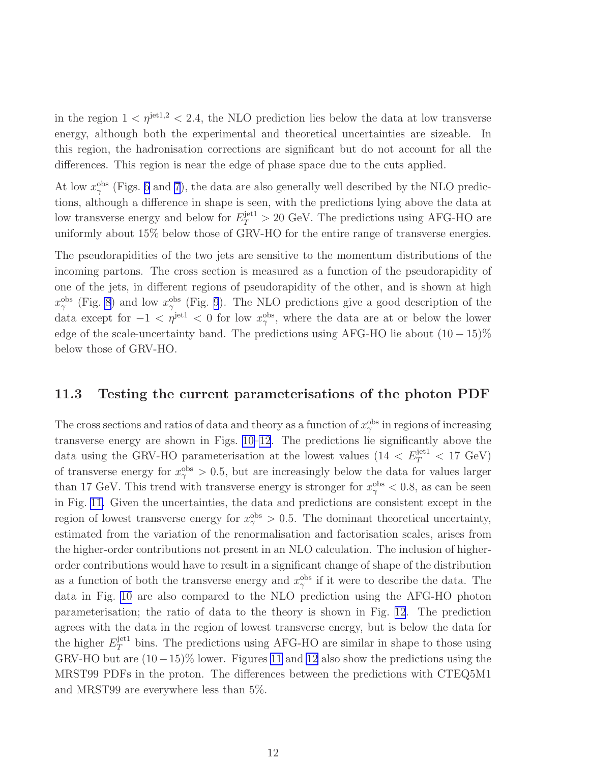in the region  $1 \langle \eta^{jet1,2} \rangle \langle 2.4 \rangle$ , the NLO prediction lies below the data at low transverse energy, although both the experimental and theoretical uncertainties are sizeable. In this region, the hadronisation corrections are significant but do not account for all the differences. This region is near the edge of phase space due to the cuts applied.

At low  $x_{\gamma}^{\text{obs}}$  (Figs. [6](#page-38-0) and [7](#page-39-0)), the data are also generally well described by the NLO predictions, although a difference in shape is seen, with the predictions lying above the data at low transverse energy and below for  $E_T^{\text{jet1}} > 20 \text{ GeV}$ . The predictions using AFG-HO are uniformly about 15% below those of GRV-HO for the entire range of transverse energies.

The pseudorapidities of the two jets are sensitive to the momentum distributions of the incoming partons. The cross section is measured as a function of the pseudorapidity of one of the jets, in different regions of pseudorapidity of the other, and is shown at high  $x_{\gamma}^{\text{obs}}$  (Fig. [8](#page-40-0)) and low  $x_{\gamma}^{\text{obs}}$  (Fig. [9](#page-41-0)). The NLO predictions give a good description of the data except for  $-1 < \eta^{\text{jet1}} < 0$  for low  $x_{\gamma}^{\text{obs}}$ , where the data are at or below the lower edge of the scale-uncertainty band. The predictions using AFG-HO lie about  $(10-15)\%$ below those of GRV-HO.

#### 11.3 Testing the current parameterisations of the photon PDF

The cross sections and ratios of data and theory as a function of  $x_{\gamma}^{\text{obs}}$  in regions of increasing transverse energy are shown in Figs. [10–](#page-42-0)[12](#page-44-0). The predictions lie significantly above the data using the GRV-HO parameterisation at the lowest values  $(14 < E_T^{\text{jet1}} < 17 \text{ GeV})$ of transverse energy for  $x_{\gamma}^{\text{obs}} > 0.5$ , but are increasingly below the data for values larger than 17 GeV. This trend with transverse energy is stronger for  $x_{\gamma}^{\text{obs}} < 0.8$ , as can be seen in Fig. [11.](#page-43-0) Given the uncertainties, the data and predictions are consistent except in the region of lowest transverse energy for  $x_{\gamma}^{\text{obs}} > 0.5$ . The dominant theoretical uncertainty, estimated from the variation of the renormalisation and factorisation scales, arises from the higher-order contributions not present in an NLO calculation. The inclusion of higherorder contributions would have to result in a significant change of shape of the distribution as a function of both the transverse energy and  $x_{\gamma}^{\text{obs}}$  if it were to describe the data. The data in Fig. [10](#page-42-0) are also compared to the NLO prediction using the AFG-HO photon parameterisation; the ratio of data to the theory is shown in Fig. [12](#page-44-0). The prediction agrees with the data in the region of lowest transverse energy, but is below the data for the higher  $E_T^{\text{jet1}}$  bins. The predictions using AFG-HO are similar in shape to those using GRV-HO but are  $(10-15)\%$  lower. Figures [11](#page-43-0) and [12](#page-44-0) also show the predictions using the MRST99 PDFs in the proton. The differences between the predictions with CTEQ5M1 and MRST99 are everywhere less than 5%.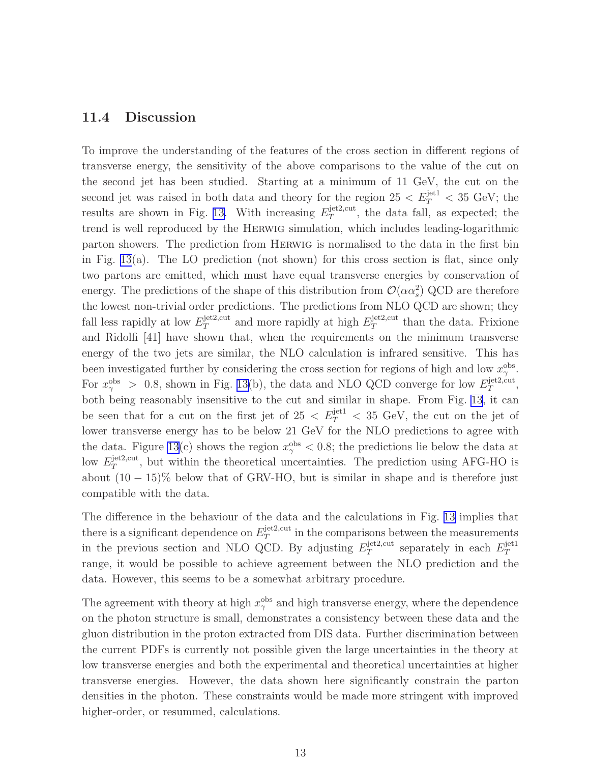#### 11.4 Discussion

To improve the understanding of the features of the cross section in different regions of transverse energy, the sensitivity of the above comparisons to the value of the cut on the second jet has been studied. Starting at a minimum of 11 GeV, the cut on the second jet was raised in both data and theory for the region  $25 < E_T^{\text{jet1}} < 35 \text{ GeV}$ ; the results are shown in Fig. [13.](#page-45-0) With increasing  $E_T^{\text{jet2,cut}}$  $T<sup>jet2, cut</sup>$ , the data fall, as expected; the trend is well reproduced by the Herwig simulation, which includes leading-logarithmic parton showers. The prediction from Herwig is normalised to the data in the first bin in Fig.  $13(a)$ . The LO prediction (not shown) for this cross section is flat, since only two partons are emitted, which must have equal transverse energies by conservation of energy. The predictions of the shape of this distribution from  $\mathcal{O}(\alpha \alpha_s^2)$  QCD are therefore the lowest non-trivial order predictions. The predictions from NLO QCD are shown; they fall less rapidly at low  $E_T^{\text{jet2,cut}}$  $T_T^{\text{jet2,cut}}$  and more rapidly at high  $E_T^{\text{jet2,cut}}$  $T^{jetz, cut}$  than the data. Frixione and Ridolfi [41] have shown that, when the requirements on the minimum transverse energy of the two jets are similar, the NLO calculation is infrared sensitive. This has been investigated further by considering the cross section for regions of high and low  $x_{\gamma}^{\text{obs}}$ . For  $x_{\gamma}^{\text{obs}} > 0.8$ , shown in Fig. [13\(](#page-45-0)b), the data and NLO QCD converge for low  $E_T^{\text{jet2,cut}}$  $T^{\text{jet}2,\text{cut}},$ both being reasonably insensitive to the cut and similar in shape. From Fig. [13](#page-45-0), it can be seen that for a cut on the first jet of  $25 < E_T^{\text{jet1}} < 35 \text{ GeV}$ , the cut on the jet of lower transverse energy has to be below 21 GeV for the NLO predictions to agree with the data. Figure [13\(](#page-45-0)c) shows the region  $x_{\gamma}^{\text{obs}} < 0.8$ ; the predictions lie below the data at low  $E_T^{\text{jet2,cut}}$  $T<sup>jet2, cut</sup>$ , but within the theoretical uncertainties. The prediction using AFG-HO is about  $(10 - 15)\%$  below that of GRV-HO, but is similar in shape and is therefore just compatible with the data.

The difference in the behaviour of the data and the calculations in Fig. [13](#page-45-0) implies that there is a significant dependence on  $E_T^{\text{jet2,cut}}$  $T<sub>T</sub><sup>jet2, cut</sup>$  in the comparisons between the measurements in the previous section and NLO QCD. By adjusting  $E_T^{\text{jet2,cut}}$  $T_T^{\text{jet2,cut}}$  separately in each  $E_T^{\text{jet1}}$ T range, it would be possible to achieve agreement between the NLO prediction and the data. However, this seems to be a somewhat arbitrary procedure.

The agreement with theory at high  $x_{\gamma}^{\text{obs}}$  and high transverse energy, where the dependence on the photon structure is small, demonstrates a consistency between these data and the gluon distribution in the proton extracted from DIS data. Further discrimination between the current PDFs is currently not possible given the large uncertainties in the theory at low transverse energies and both the experimental and theoretical uncertainties at higher transverse energies. However, the data shown here significantly constrain the parton densities in the photon. These constraints would be made more stringent with improved higher-order, or resummed, calculations.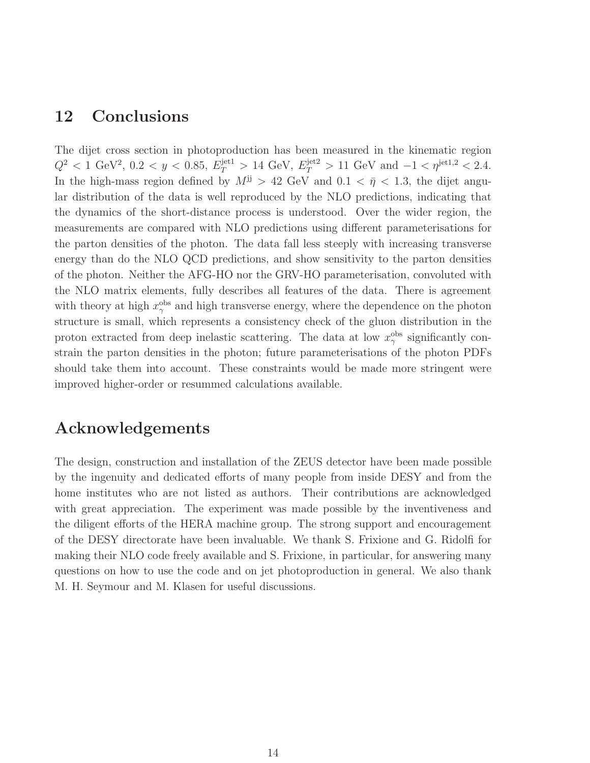#### 12 Conclusions

The dijet cross section in photoproduction has been measured in the kinematic region  $Q^2$  < 1 GeV<sup>2</sup>, 0.2 < y < 0.85,  $E_T^{\text{jet1}} > 14$  GeV,  $E_T^{\text{jet2}} > 11$  GeV and  $-1 < \eta^{\text{jet1,2}} < 2.4$ . In the high-mass region defined by  $M^{jj} > 42$  GeV and  $0.1 < \bar{\eta} < 1.3$ , the dijet angular distribution of the data is well reproduced by the NLO predictions, indicating that the dynamics of the short-distance process is understood. Over the wider region, the measurements are compared with NLO predictions using different parameterisations for the parton densities of the photon. The data fall less steeply with increasing transverse energy than do the NLO QCD predictions, and show sensitivity to the parton densities of the photon. Neither the AFG-HO nor the GRV-HO parameterisation, convoluted with the NLO matrix elements, fully describes all features of the data. There is agreement with theory at high  $x_{\gamma}^{\text{obs}}$  and high transverse energy, where the dependence on the photon structure is small, which represents a consistency check of the gluon distribution in the proton extracted from deep inelastic scattering. The data at low  $x_{\gamma}^{\text{obs}}$  significantly constrain the parton densities in the photon; future parameterisations of the photon PDFs should take them into account. These constraints would be made more stringent were improved higher-order or resummed calculations available.

#### Acknowledgements

The design, construction and installation of the ZEUS detector have been made possible by the ingenuity and dedicated efforts of many people from inside DESY and from the home institutes who are not listed as authors. Their contributions are acknowledged with great appreciation. The experiment was made possible by the inventiveness and the diligent efforts of the HERA machine group. The strong support and encouragement of the DESY directorate have been invaluable. We thank S. Frixione and G. Ridolfi for making their NLO code freely available and S. Frixione, in particular, for answering many questions on how to use the code and on jet photoproduction in general. We also thank M. H. Seymour and M. Klasen for useful discussions.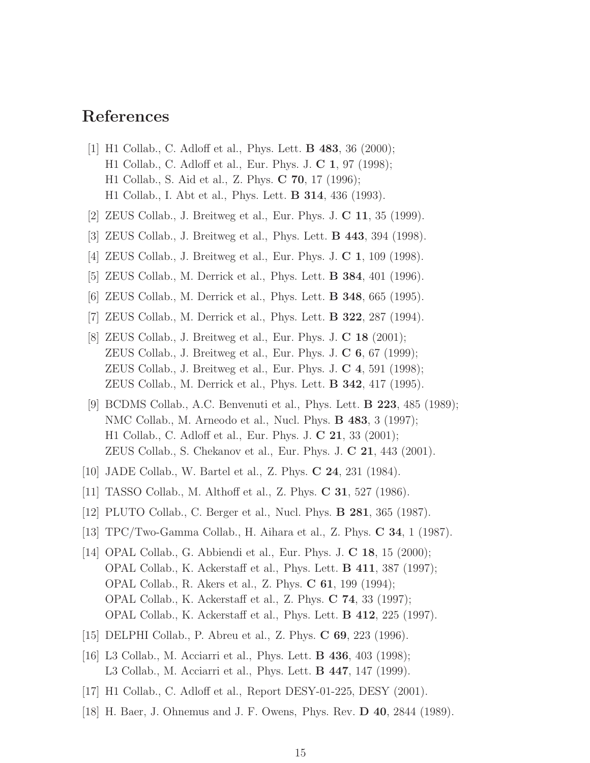#### References

- [1] H1 Collab., C. Adloff et al., Phys. Lett. B 483, 36 (2000); H1 Collab., C. Adloff et al., Eur. Phys. J. C 1, 97 (1998); H1 Collab., S. Aid et al., Z. Phys. C 70, 17 (1996); H1 Collab., I. Abt et al., Phys. Lett. B 314, 436 (1993).
- [2] ZEUS Collab., J. Breitweg et al., Eur. Phys. J. C 11, 35 (1999).
- [3] ZEUS Collab., J. Breitweg et al., Phys. Lett. B 443, 394 (1998).
- [4] ZEUS Collab., J. Breitweg et al., Eur. Phys. J. C 1, 109 (1998).
- [5] ZEUS Collab., M. Derrick et al., Phys. Lett. B 384, 401 (1996).
- [6] ZEUS Collab., M. Derrick et al., Phys. Lett. B 348, 665 (1995).
- [7] ZEUS Collab., M. Derrick et al., Phys. Lett. B 322, 287 (1994).
- [8] ZEUS Collab., J. Breitweg et al., Eur. Phys. J. C 18 (2001); ZEUS Collab., J. Breitweg et al., Eur. Phys. J.  $\mathbb C$  6, 67 (1999); ZEUS Collab., J. Breitweg et al., Eur. Phys. J. C 4, 591 (1998); ZEUS Collab., M. Derrick et al., Phys. Lett. B 342, 417 (1995).
- [9] BCDMS Collab., A.C. Benvenuti et al., Phys. Lett. B 223, 485 (1989); NMC Collab., M. Arneodo et al., Nucl. Phys. B 483, 3 (1997); H1 Collab., C. Adloff et al., Eur. Phys. J. C 21, 33 (2001); ZEUS Collab., S. Chekanov et al., Eur. Phys. J. C 21, 443 (2001).
- [10] JADE Collab., W. Bartel et al., Z. Phys. C 24, 231 (1984).
- [11] TASSO Collab., M. Althoff et al., Z. Phys. C 31, 527 (1986).
- [12] PLUTO Collab., C. Berger et al., Nucl. Phys. B 281, 365 (1987).
- [13] TPC/Two-Gamma Collab., H. Aihara et al., Z. Phys. C 34, 1 (1987).
- [14] OPAL Collab., G. Abbiendi et al., Eur. Phys. J. C 18, 15 (2000); OPAL Collab., K. Ackerstaff et al., Phys. Lett. B 411, 387 (1997); OPAL Collab., R. Akers et al., Z. Phys. C 61, 199 (1994); OPAL Collab., K. Ackerstaff et al., Z. Phys. C 74, 33 (1997); OPAL Collab., K. Ackerstaff et al., Phys. Lett. B 412, 225 (1997).
- [15] DELPHI Collab., P. Abreu et al., Z. Phys. C 69, 223 (1996).
- [16] L3 Collab., M. Acciarri et al., Phys. Lett. **B 436**, 403 (1998); L3 Collab., M. Acciarri et al., Phys. Lett. B 447, 147 (1999).
- [17] H1 Collab., C. Adloff et al., Report DESY-01-225, DESY (2001).
- [18] H. Baer, J. Ohnemus and J. F. Owens, Phys. Rev. D 40, 2844 (1989).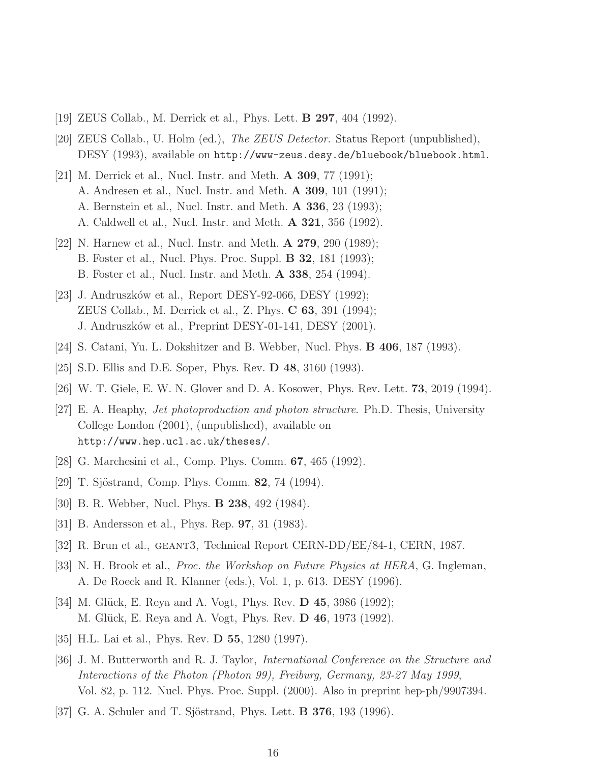- [19] ZEUS Collab., M. Derrick et al., Phys. Lett. B 297, 404 (1992).
- [20] ZEUS Collab., U. Holm (ed.), The ZEUS Detector. Status Report (unpublished), DESY (1993), available on http://www-zeus.desy.de/bluebook/bluebook.html.
- [21] M. Derrick et al., Nucl. Instr. and Meth.  $\bf{A}$  309, 77 (1991); A. Andresen et al., Nucl. Instr. and Meth. A 309, 101 (1991); A. Bernstein et al., Nucl. Instr. and Meth. A 336, 23 (1993); A. Caldwell et al., Nucl. Instr. and Meth. A 321, 356 (1992).
- [22] N. Harnew et al., Nucl. Instr. and Meth.  $\mathbf{A}$  **279**, 290 (1989); B. Foster et al., Nucl. Phys. Proc. Suppl. B 32, 181 (1993); B. Foster et al., Nucl. Instr. and Meth. A 338, 254 (1994).
- [23] J. Andruszków et al., Report DESY-92-066, DESY (1992); ZEUS Collab., M. Derrick et al., Z. Phys. C 63, 391 (1994); J. Andruszków et al., Preprint DESY-01-141, DESY (2001).
- [24] S. Catani, Yu. L. Dokshitzer and B. Webber, Nucl. Phys. B 406, 187 (1993).
- [25] S.D. Ellis and D.E. Soper, Phys. Rev. D 48, 3160 (1993).
- [26] W. T. Giele, E. W. N. Glover and D. A. Kosower, Phys. Rev. Lett. 73, 2019 (1994).
- [27] E. A. Heaphy, Jet photoproduction and photon structure. Ph.D. Thesis, University College London (2001), (unpublished), available on http://www.hep.ucl.ac.uk/theses/.
- [28] G. Marchesini et al., Comp. Phys. Comm. 67, 465 (1992).
- [29] T. Sjöstrand, Comp. Phys. Comm. 82, 74 (1994).
- [30] B. R. Webber, Nucl. Phys. B 238, 492 (1984).
- [31] B. Andersson et al., Phys. Rep. 97, 31 (1983).
- [32] R. Brun et al., geant3, Technical Report CERN-DD/EE/84-1, CERN, 1987.
- [33] N. H. Brook et al., *Proc. the Workshop on Future Physics at HERA*, G. Ingleman, A. De Roeck and R. Klanner (eds.), Vol. 1, p. 613. DESY (1996).
- [34] M. Glück, E. Reya and A. Vogt, Phys. Rev. **D** 45, 3986 (1992); M. Glück, E. Reya and A. Vogt, Phys. Rev. **D 46**, 1973 (1992).
- [35] H.L. Lai et al., Phys. Rev. **D 55**, 1280 (1997).
- [36] J. M. Butterworth and R. J. Taylor, International Conference on the Structure and Interactions of the Photon (Photon 99), Freiburg, Germany, 23-27 May 1999, Vol. 82, p. 112. Nucl. Phys. Proc. Suppl. (2000). Also in preprint hep-ph/9907394.
- [37] G. A. Schuler and T. Sjöstrand, Phys. Lett. **B 376**, 193 (1996).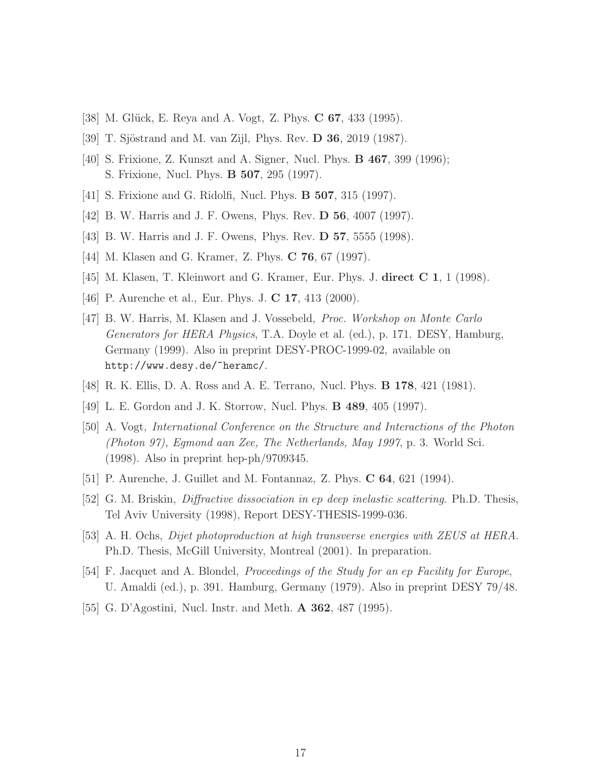- [38] M. Glück, E. Reya and A. Vogt, Z. Phys. C 67, 433 (1995).
- [39] T. Sjöstrand and M. van Zijl, Phys. Rev. **D 36**, 2019 (1987).
- [40] S. Frixione, Z. Kunszt and A. Signer, Nucl. Phys. B 467, 399 (1996); S. Frixione, Nucl. Phys. B 507, 295 (1997).
- [41] S. Frixione and G. Ridolfi, Nucl. Phys. B 507, 315 (1997).
- [42] B. W. Harris and J. F. Owens, Phys. Rev. D 56, 4007 (1997).
- [43] B. W. Harris and J. F. Owens, Phys. Rev. D 57, 5555 (1998).
- [44] M. Klasen and G. Kramer, Z. Phys. **C 76**, 67 (1997).
- [45] M. Klasen, T. Kleinwort and G. Kramer, Eur. Phys. J. direct C 1, 1 (1998).
- [46] P. Aurenche et al., Eur. Phys. J. C 17, 413 (2000).
- [47] B. W. Harris, M. Klasen and J. Vossebeld, Proc. Workshop on Monte Carlo Generators for HERA Physics, T.A. Doyle et al. (ed.), p. 171. DESY, Hamburg, Germany (1999). Also in preprint DESY-PROC-1999-02, available on http://www.desy.de/~heramc/.
- [48] R. K. Ellis, D. A. Ross and A. E. Terrano, Nucl. Phys. B 178, 421 (1981).
- [49] L. E. Gordon and J. K. Storrow, Nucl. Phys. B 489, 405 (1997).
- [50] A. Vogt, International Conference on the Structure and Interactions of the Photon (Photon 97), Egmond aan Zee, The Netherlands, May 1997, p. 3. World Sci. (1998). Also in preprint hep-ph/9709345.
- [51] P. Aurenche, J. Guillet and M. Fontannaz, Z. Phys. C 64, 621 (1994).
- [52] G. M. Briskin, Diffractive dissociation in ep deep inelastic scattering. Ph.D. Thesis, Tel Aviv University (1998), Report DESY-THESIS-1999-036.
- [53] A. H. Ochs, Dijet photoproduction at high transverse energies with ZEUS at HERA. Ph.D. Thesis, McGill University, Montreal (2001). In preparation.
- [54] F. Jacquet and A. Blondel, Proceedings of the Study for an ep Facility for Europe, U. Amaldi (ed.), p. 391. Hamburg, Germany (1979). Also in preprint DESY 79/48.
- [55] G. D'Agostini, Nucl. Instr. and Meth. A 362, 487 (1995).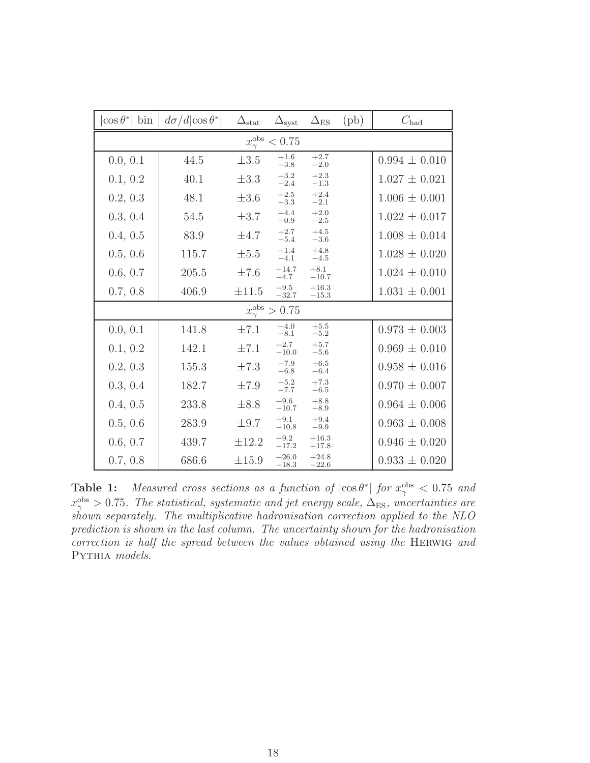<span id="page-25-0"></span>

| $\cos \theta^*$<br>bin                | $d\sigma/d \cos\theta^* $ | $\Delta_{\text{stat}}$ | $\Delta_{\rm syst}$           | $\Delta_{ES}$      | $(\mathrm{pb})$ | $C_{\text{had}}$  |  |  |
|---------------------------------------|---------------------------|------------------------|-------------------------------|--------------------|-----------------|-------------------|--|--|
| $x_{\gamma}^{\mathrm{obs}}$<br>< 0.75 |                           |                        |                               |                    |                 |                   |  |  |
| 0.0, 0.1                              | 44.5                      | $\pm 3.5$              | $+1.6$<br>$-3.8$              | $+2.7$<br>$-2.0$   |                 | $0.994 \pm 0.010$ |  |  |
| 0.1, 0.2                              | 40.1                      | $\pm 3.3$              | $+3.2$<br>$-2.4$              | $+2.3$<br>$-1.3$   |                 | $1.027 \pm 0.021$ |  |  |
| 0.2, 0.3                              | 48.1                      | $\pm 3.6$              | $+2.5\,$<br>$-3.3$            | $+2.4$<br>$-2.1$   |                 | $1.006 \pm 0.001$ |  |  |
| 0.3, 0.4                              | 54.5                      | $\pm 3.7$              | $+4.4$<br>$-0.9$              | $+2.0$<br>$-2.5$   |                 | $1.022 \pm 0.017$ |  |  |
| 0.4, 0.5                              | 83.9                      | $\pm 4.7$              | $+2.7$<br>$-5.4$              | $+4.5$<br>$-3.6$   |                 | $1.008 \pm 0.014$ |  |  |
| 0.5, 0.6                              | 115.7                     | $\pm 5.5$              | $+1.4$<br>$-4.1$              | $+4.8$<br>$-4.5$   |                 | $1.028 \pm 0.020$ |  |  |
| 0.6, 0.7                              | 205.5                     | $\pm 7.6$              | $+14.7$<br>$-4.7$             | $+8.1$<br>$-10.7$  |                 | $1.024 \pm 0.010$ |  |  |
| 0.7, 0.8                              | 406.9                     | $\pm 11.5$             | $+9.5$<br>$-32.7$             | $+16.3$<br>$-15.3$ |                 | $1.031 \pm 0.001$ |  |  |
|                                       |                           |                        | $x_{\gamma}^{\rm obs} > 0.75$ |                    |                 |                   |  |  |
| 0.0, 0.1                              | 141.8                     | $\pm 7.1$              | $+4.0$<br>$-8.1$              | $+5.5$<br>$-5.2$   |                 | $0.973 \pm 0.003$ |  |  |
| 0.1, 0.2                              | 142.1                     | $\pm 7.1$              | $+2.7$<br>$-10.0$             | $+5.7$<br>$-5.6$   |                 | $0.969 \pm 0.010$ |  |  |
| 0.2, 0.3                              | 155.3                     | $\pm 7.3$              | $+7.9$<br>$-6.8$              | $+6.5$<br>$-6.4$   |                 | $0.958 \pm 0.016$ |  |  |
| 0.3, 0.4                              | 182.7                     | $\pm 7.9$              | $+5.2$<br>$-7.7$              | $+7.3$<br>$-6.5$   |                 | $0.970 \pm 0.007$ |  |  |
| 0.4, 0.5                              | 233.8                     | $\pm 8.8$              | $+9.6$<br>$-10.7$             | $+8.8$<br>$-8.9$   |                 | $0.964 \pm 0.006$ |  |  |
| 0.5, 0.6                              | 283.9                     | $\pm 9.7$              | $+9.1$<br>$-10.8$             | $+9.4$<br>$-9.9$   |                 | $0.963 \pm 0.008$ |  |  |
| 0.6, 0.7                              | 439.7                     | $\pm 12.2$             | $+9.2$<br>$-17.2$             | $+16.3$<br>$-17.8$ |                 | $0.946 \pm 0.020$ |  |  |
| 0.7, 0.8                              | 686.6                     | $\pm 15.9$             | $+26.0$<br>$-18.3$            | $+24.8$<br>$-22.6$ |                 | $0.933 \pm 0.020$ |  |  |

**Table 1:** Measured cross sections as a function of  $|\cos \theta^*|$  for  $x_\gamma^{\text{obs}} < 0.75$  and  $x_{\gamma}^{\text{obs}} > 0.75$ . The statistical, systematic and jet energy scale,  $\Delta_{\text{ES}}$ , uncertainties are shown separately. The multiplicative hadronisation correction applied to the NLO prediction is shown in the last column. The uncertainty shown for the hadronisation correction is half the spread between the values obtained using the HERWIG and PYTHIA models.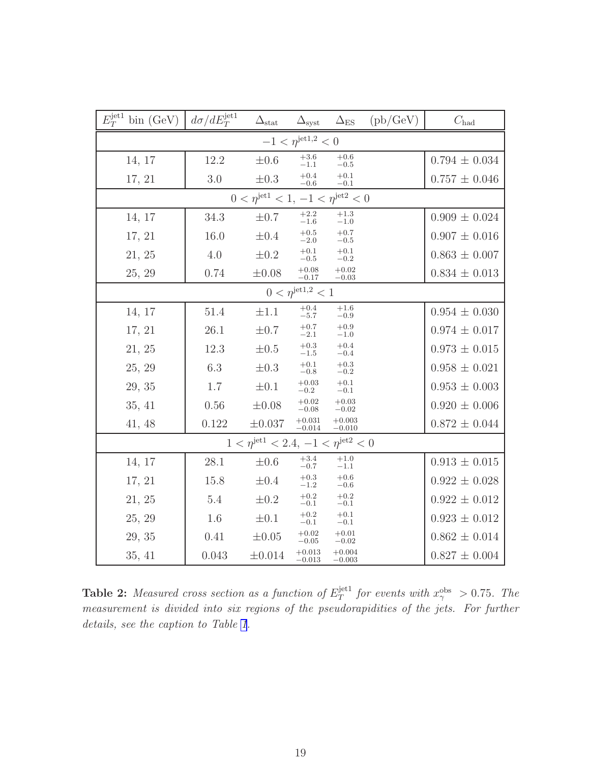| $E_T^{\text{jet1}}$ bin (GeV)                         | $d\sigma/dE_T^{\rm jet1}$ | $\Delta_{\text{stat}}$                                      | $\Delta_{\rm syst}$            | $\Delta_{\rm ES}$    | (pb/GeV) | $C_{\rm had}$     |  |  |  |
|-------------------------------------------------------|---------------------------|-------------------------------------------------------------|--------------------------------|----------------------|----------|-------------------|--|--|--|
|                                                       |                           |                                                             | $-1 < \eta^{\rm{jet1,2}} < 0$  |                      |          |                   |  |  |  |
| 14, 17                                                | 12.2                      | $\pm 0.6$                                                   | $+3.6$<br>$-1.1$               | $^{+0.6}_{-0.5}$     |          | $0.794 \pm 0.034$ |  |  |  |
| 17, 21                                                | 3.0                       | $\pm 0.3$                                                   | $\substack{+0.4 \\ -0.6}$      | $+0.1\,$<br>$-0.1$   |          | $0.757 \pm 0.046$ |  |  |  |
| $0 < \eta^{\rm{jet1}} < 1, -1 < \eta^{\rm{jet2}} < 0$ |                           |                                                             |                                |                      |          |                   |  |  |  |
| 14, 17                                                | $34.3\,$                  | $\pm 0.7$                                                   | $\substack{+2.2 \\ -1.6}$      | $+1.3$<br>$-1.0$     |          | $0.909 \pm 0.024$ |  |  |  |
| 17, 21                                                | 16.0                      | $\pm 0.4$                                                   | $\substack{+0.5 \\ -2.0}$      | $+0.7\,$<br>$-0.5$   |          | $0.907 \pm 0.016$ |  |  |  |
| 21, 25                                                | 4.0                       | $\pm 0.2$                                                   | $+0.1$<br>$-0.5$               | $+0.1$<br>$-0.2$     |          | $0.863 \pm 0.007$ |  |  |  |
| 25, 29                                                | 0.74                      | $\pm 0.08$                                                  | $+0.08$<br>$-0.17$             | $+0.02$<br>$-0.03$   |          | $0.834 \pm 0.013$ |  |  |  |
|                                                       |                           |                                                             | $0 < \eta^{\text{jet1,2}} < 1$ |                      |          |                   |  |  |  |
| 14, 17                                                | $51.4\,$                  | $\pm 1.1$                                                   | $+0.4$<br>$-5.7$               | $+1.6$<br>$-0.9$     |          | $0.954 \pm 0.030$ |  |  |  |
| 17, 21                                                | 26.1                      | $\pm 0.7$                                                   | $+0.7\,$<br>$-2.1$             | $+0.9$<br>$-1.0$     |          | $0.974 \pm 0.017$ |  |  |  |
| 21, 25                                                | 12.3                      | $\pm 0.5$                                                   | $+0.3$<br>$-1.5$               | $+0.4$<br>$-0.4$     |          | $0.973 \pm 0.015$ |  |  |  |
| 25, 29                                                | 6.3                       | $\pm 0.3$                                                   | $+0.1$<br>$-0.8$               | $^{+0.3}_{-0.2}$     |          | $0.958 \pm 0.021$ |  |  |  |
| 29, 35                                                | 1.7                       | $\pm 0.1$                                                   | $+0.03$<br>$-0.2$              | $+0.1$<br>$-0.1$     |          | $0.953 \pm 0.003$ |  |  |  |
| 35, 41                                                | 0.56                      | $\pm 0.08$                                                  | $+0.02$<br>$-0.08$             | $+0.03$<br>$-0.02$   |          | $0.920 \pm 0.006$ |  |  |  |
| 41, 48                                                | 0.122                     | $\pm 0.037$                                                 | $+0.031$<br>$-0.014$           | $+0.003$<br>$-0.010$ |          | $0.872 \pm 0.044$ |  |  |  |
|                                                       |                           | $1 < \eta^{\text{jet1}} < 2.4, -1 < \eta^{\text{jet2}} < 0$ |                                |                      |          |                   |  |  |  |
| 14, 17                                                | 28.1                      | $\pm 0.6$                                                   | $+3.4$<br>$-0.7$               | $+1.0$<br>$-1.1\,$   |          | $0.913 \pm 0.015$ |  |  |  |
| 17, 21                                                | 15.8                      | $\pm 0.4$                                                   | $\substack{+0.3 \\ -1.2}$      | $+0.6$<br>$-0.6$     |          | $0.922 \pm 0.028$ |  |  |  |
| 21, 25                                                | 5.4                       | $\pm 0.2$                                                   | $+0.2$<br>$-0.1$               | $+0.2$<br>$-0.1$     |          | $0.922 \pm 0.012$ |  |  |  |
| 25, 29                                                | 1.6                       | $\pm 0.1$                                                   | $+0.2$<br>$-0.1$               | $+0.1$<br>$-0.1$     |          | $0.923 \pm 0.012$ |  |  |  |
| 29, 35                                                | 0.41                      | $\pm 0.05$                                                  | $+0.02$<br>$-0.05$             | $+0.01$<br>$-0.02$   |          | $0.862 \pm 0.014$ |  |  |  |
| 35, 41                                                | 0.043                     | $\pm 0.014$                                                 | $+0.013$<br>$-0.013$           | $+0.004$<br>$-0.003$ |          | $0.827 \pm 0.004$ |  |  |  |

**Table 2:** Measured cross section as a function of  $E_T^{\text{jet1}}$  $T^{jet1}$  for events with  $x_{\gamma}^{\text{obs}} > 0.75$ . The measurement is divided into six regions of the pseudorapidities of the jets. For further details, see the caption to Table [1](#page-25-0).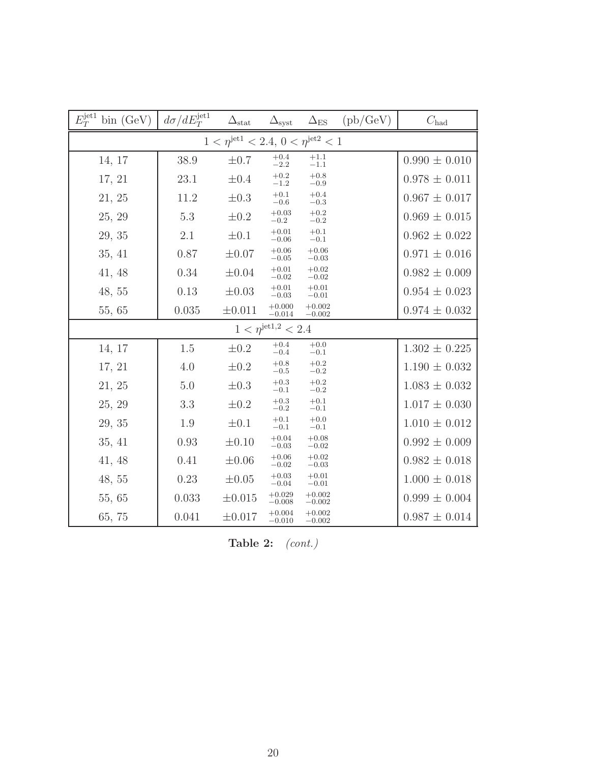<span id="page-27-0"></span>

| $E_T^{\rm jet1}$<br>bin(GeV) | $d\sigma/dE_T^{\rm jet1}$                                  | $\Delta_{\text{stat}}$ | $\Delta_{\rm syst}$            | $\Delta_{ES}$        | $(\text{pb}/\text{GeV})$ | $C_{\text{had}}$  |  |  |  |
|------------------------------|------------------------------------------------------------|------------------------|--------------------------------|----------------------|--------------------------|-------------------|--|--|--|
|                              | $1 < \eta^{\text{jet1}} < 2.4, 0 < \eta^{\text{jet2}} < 1$ |                        |                                |                      |                          |                   |  |  |  |
| 14, 17                       | 38.9                                                       | $\pm 0.7$              | $^{+0.4}_{-2.2}$               | $^{+1.1}_{-1.1}$     |                          | $0.990 \pm 0.010$ |  |  |  |
| 17, 21                       | 23.1                                                       | $\pm 0.4$              | $^{+0.2}_{-1.2}$               | $^{+0.8}_{-0.9}$     |                          | $0.978 \pm 0.011$ |  |  |  |
| 21, 25                       | 11.2                                                       | $\pm 0.3$              | $+0.1$<br>$-0.6$               | $+0.4$<br>$-0.3$     |                          | $0.967 \pm 0.017$ |  |  |  |
| 25, 29                       | 5.3                                                        | $\pm 0.2$              | $+0.03$<br>$-0.2$              | $+0.2$<br>$-0.2$     |                          | $0.969 \pm 0.015$ |  |  |  |
| 29, 35                       | 2.1                                                        | $\pm 0.1$              | $+0.01$<br>$-0.06$             | $+0.1$<br>$-0.1$     |                          | $0.962 \pm 0.022$ |  |  |  |
| 35, 41                       | 0.87                                                       | $\pm 0.07$             | $+0.06$<br>$-0.05$             | $+0.06$<br>$-0.03$   |                          | $0.971 \pm 0.016$ |  |  |  |
| 41, 48                       | 0.34                                                       | $\pm 0.04$             | $+0.01$<br>$-0.02$             | $+0.02$<br>$-0.02$   |                          | $0.982 \pm 0.009$ |  |  |  |
| 48, 55                       | 0.13                                                       | $\pm 0.03$             | $+0.01$<br>$-0.03$             | $+0.01$<br>$-0.01$   |                          | $0.954 \pm 0.023$ |  |  |  |
| 55, 65                       | 0.035                                                      | $\pm 0.011$            | $+0.000$<br>$-0.014$           | $+0.002$<br>$-0.002$ |                          | $0.974 \pm 0.032$ |  |  |  |
|                              |                                                            |                        | $1 < \eta^{\rm{jet1,2}} < 2.4$ |                      |                          |                   |  |  |  |
| 14, 17                       | 1.5                                                        | $\pm 0.2$              | $+0.4$<br>$-0.4$               | $+0.0$<br>$-0.1$     |                          | $1.302 \pm 0.225$ |  |  |  |
| 17, 21                       | 4.0                                                        | $\pm 0.2$              | $+0.8\,$<br>$-0.5$             | $+0.2$<br>$-0.2$     |                          | $1.190 \pm 0.032$ |  |  |  |
| 21, 25                       | 5.0                                                        | $\pm 0.3$              | $+0.3$<br>$-0.1$               | $+0.2$<br>$-0.2$     |                          | $1.083 \pm 0.032$ |  |  |  |
| 25, 29                       | 3.3                                                        | $\pm 0.2$              | $+0.3$<br>$-0.2$               | $+0.1$<br>$-0.1$     |                          | $1.017 \pm 0.030$ |  |  |  |
| 29, 35                       | 1.9                                                        | $\pm 0.1$              | $+0.1$<br>$-0.1$               | $+0.0$<br>$-0.1$     |                          | $1.010 \pm 0.012$ |  |  |  |
| 35, 41                       | 0.93                                                       | $\pm 0.10$             | $+0.04$<br>$-0.03$             | $+0.08$<br>$-0.02$   |                          | $0.992 \pm 0.009$ |  |  |  |
| 41, 48                       | 0.41                                                       | $\pm 0.06$             | $+0.06$<br>$-0.02$             | $+0.02$<br>$-0.03$   |                          | $0.982 \pm 0.018$ |  |  |  |
| 48, 55                       | 0.23                                                       | $\pm 0.05$             | $+0.03$<br>$-0.04$             | $+0.01$<br>$-0.01$   |                          | $1.000 \pm 0.018$ |  |  |  |
| 55, 65                       | 0.033                                                      | $\pm 0.015$            | $+0.029$<br>$-0.008$           | $+0.002$<br>$-0.002$ |                          | $0.999 \pm 0.004$ |  |  |  |
| 65, 75                       | 0.041                                                      | $\pm 0.017$            | $+0.004$<br>$-0.010$           | $+0.002$<br>$-0.002$ |                          | $0.987 \pm 0.014$ |  |  |  |

Table 2:  $(cont.)$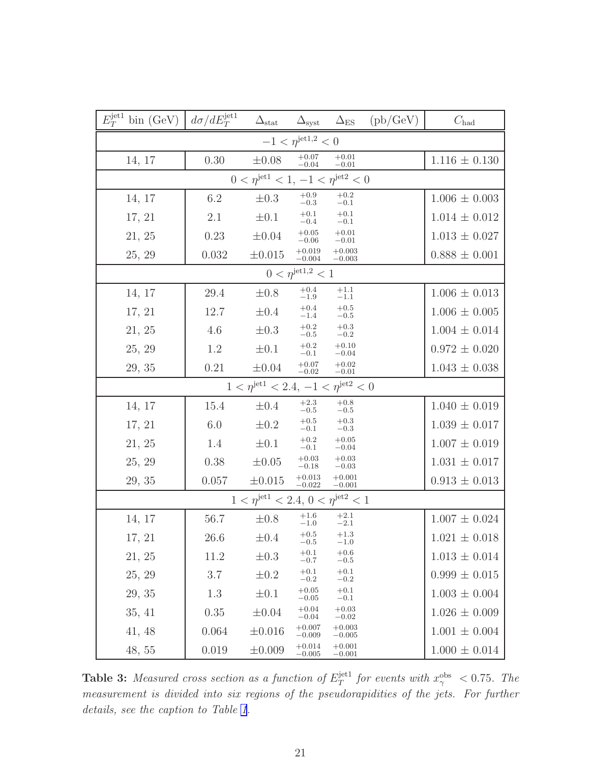| $E_T^{\text{jet1}}$ bin (GeV)                               | $d\sigma/dE_T^{\rm jet1}$ | $\Delta_{\text{stat}}$                                     |                               |                      | $\Delta_{\rm syst}$ $\Delta_{\rm ES}$ (pb/GeV) | $C_{\rm had}$       |  |  |  |
|-------------------------------------------------------------|---------------------------|------------------------------------------------------------|-------------------------------|----------------------|------------------------------------------------|---------------------|--|--|--|
|                                                             |                           |                                                            | $-1 < \eta^{\rm{jet1,2}} < 0$ |                      |                                                |                     |  |  |  |
| 14, 17                                                      | 0.30                      | $\pm 0.08$                                                 | $+0.07$<br>$-0.04$            | $+0.01$<br>$-0.01$   |                                                | $1.116 \pm 0.130$   |  |  |  |
| $0 < \eta^{\text{jet1}} < 1, -1 < \eta^{\text{jet2}} < 0$   |                           |                                                            |                               |                      |                                                |                     |  |  |  |
| 14, 17                                                      | 6.2                       | $\pm 0.3$                                                  | $+0.9$<br>$-0.3$              | $+0.2$<br>$-0.1$     |                                                | $1.006 \pm 0.003$   |  |  |  |
| 17, 21                                                      | 2.1                       | $\pm 0.1$                                                  | $+0.1$<br>$-0.4$              | $+0.1$<br>$-0.1$     |                                                | $1.014 \pm 0.012$   |  |  |  |
| 21, 25                                                      | 0.23                      | $\pm 0.04$                                                 | $+0.05$<br>$-0.06$            | $+0.01$<br>$-0.01$   |                                                | $1.013 \pm 0.027$   |  |  |  |
| 25, 29                                                      | 0.032                     | $\pm 0.015$                                                | $+0.019$<br>$-0.004$          | $+0.003$<br>$-0.003$ |                                                | $0.888 \pm 0.001$   |  |  |  |
| $0 < \eta^{\text{jet1,2}} < 1$                              |                           |                                                            |                               |                      |                                                |                     |  |  |  |
| 14, 17                                                      | 29.4                      | $\pm 0.8$                                                  | $+0.4$<br>$-1.9$              | $+1.1$<br>$-1.1$     |                                                | $1.006 \pm 0.013$   |  |  |  |
| 17, 21                                                      | 12.7                      | $\pm 0.4$                                                  | $+0.4$<br>$-1.4$              | $+0.5$<br>$-0.5$     |                                                | $1.006 \pm 0.005$   |  |  |  |
| 21, 25                                                      | 4.6                       | $\pm 0.3$                                                  | $+0.2$<br>$\!-0.5$            | $^{+0.3}_{-0.2}$     |                                                | $1.004 \pm 0.014$   |  |  |  |
| 25, 29                                                      | 1.2                       | $\pm 0.1$                                                  | $+0.2$<br>$-0.1$              | $+0.10$<br>$-0.04$   |                                                | $0.972 \pm 0.020$   |  |  |  |
| 29, 35                                                      | 0.21                      | $\pm 0.04$                                                 | $^{+0.07}_{-0.02}$            | $+0.02$<br>$-0.01$   |                                                | $1.043 \pm 0.038$   |  |  |  |
| $1 < \eta^{\text{jet1}} < 2.4, -1 < \eta^{\text{jet2}} < 0$ |                           |                                                            |                               |                      |                                                |                     |  |  |  |
| 14, 17                                                      | $15.4\,$                  | $\pm 0.4$                                                  | $+2.3$<br>$\!-0.5$            | $+0.8$<br>$-0.5$     |                                                | $1.040 \pm 0.019$   |  |  |  |
| 17, 21                                                      | 6.0                       | $\pm 0.2$                                                  | $+0.5$<br>$-0.1\,$            | $+0.3$<br>$-0.3$     |                                                | $1.039 \pm 0.017$   |  |  |  |
| 21, 25                                                      | 1.4                       | $\pm 0.1$                                                  | $+0.2$<br>$-0.1$              | $+0.05$<br>$-0.04$   |                                                | $1.007 \pm 0.019$   |  |  |  |
| 25, 29                                                      | 0.38                      | $\pm 0.05$                                                 | $+0.03$<br>$-0.18$            | $+0.03$<br>$-0.03$   |                                                | $1.031 \pm 0.017$   |  |  |  |
| 29, 35                                                      | 0.057                     | $\pm 0.015$                                                | $+0.013$<br>$-0.022$          | $+0.001$<br>$-0.001$ |                                                | $0.913 \pm 0.013$   |  |  |  |
|                                                             |                           | $1 < \eta^{\text{jet1}} < 2.4, 0 < \eta^{\text{jet2}} < 1$ |                               |                      |                                                |                     |  |  |  |
| 14, 17                                                      | 56.7                      | $\pm 0.8$                                                  | $+1.6$<br>$-1.0\,$            | $+2.1$<br>$-2.1$     |                                                | $1.007 \pm 0.024$   |  |  |  |
| 17, 21                                                      | 26.6                      | $\pm 0.4$                                                  | $+0.5$<br>$-0.5$              | $+1.3$<br>$-1.0$     |                                                | $1.021 \pm 0.018$   |  |  |  |
| 21, 25                                                      | 11.2                      | $\pm 0.3$                                                  | $+0.1$<br>$-0.7$              | $+0.6$<br>$-0.5$     |                                                | $1.013 \pm 0.014$   |  |  |  |
| 25, 29                                                      | 3.7                       | $\pm 0.2$                                                  | $+0.1$<br>$-0.2$              | $+0.1$<br>$-0.2$     |                                                | $0.999\,\pm\,0.015$ |  |  |  |
| 29, 35                                                      | 1.3                       | $\pm 0.1$                                                  | $+0.05$<br>$-0.05$            | $+0.1$<br>$-0.1$     |                                                | $1.003 \pm 0.004$   |  |  |  |
| 35, 41                                                      | 0.35                      | $\pm 0.04$                                                 | $+0.04$<br>$-0.04$            | $+0.03$<br>$-0.02$   |                                                | $1.026 \pm 0.009$   |  |  |  |
| 41, 48                                                      | 0.064                     | $\pm 0.016$                                                | $+0.007$<br>$-0.009$          | $+0.003$<br>$-0.005$ |                                                | $1.001 \pm 0.004$   |  |  |  |
| 48, 55                                                      | 0.019                     | ±0.009                                                     | $+0.014$<br>$-0.005$          | $+0.001$<br>$-0.001$ |                                                | $1.000 \pm 0.014$   |  |  |  |

**Table 3:** Measured cross section as a function of  $E_T^{\text{jet1}}$  $T_T^{\text{jet1}}$  for events with  $x_\gamma^{\text{obs}} < 0.75$ . The measurement is divided into six regions of the pseudorapidities of the jets. For further details, see the caption to Table [1](#page-25-0).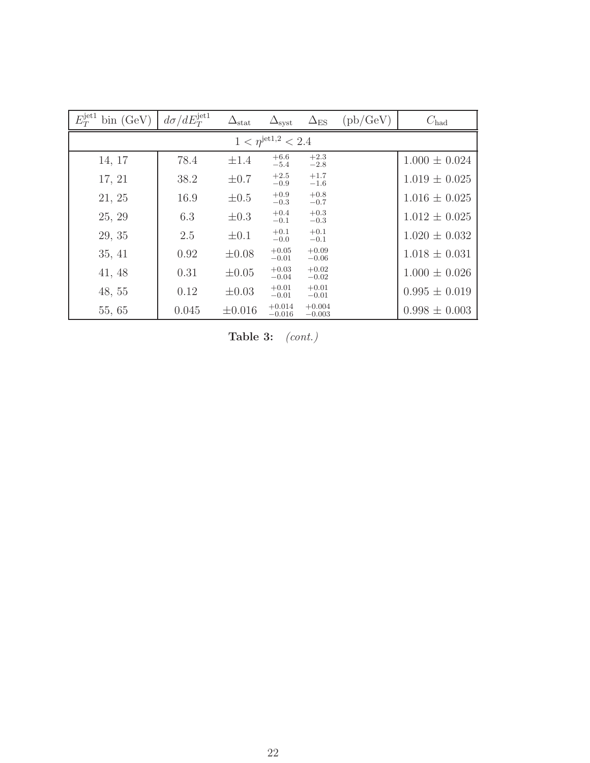<span id="page-29-0"></span>

| $E_T^{\rm jet1}$<br>bin(GeV)   | $d\sigma/dE_T^{\rm jet1}$ | $\Delta_{\text{stat}}$ | $\Delta_{\rm syst}$  | $\Delta_{\rm ES}$    | $(\text{pb}/\text{GeV})$ | $C_{\text{had}}$  |  |  |  |
|--------------------------------|---------------------------|------------------------|----------------------|----------------------|--------------------------|-------------------|--|--|--|
| $1 < \eta^{\rm{jet1,2}} < 2.4$ |                           |                        |                      |                      |                          |                   |  |  |  |
| 14, 17                         | 78.4                      | $\pm 1.4$              | $+6.6$<br>$-5.4$     | $+2.3$<br>$-2.8$     |                          | $1.000 \pm 0.024$ |  |  |  |
| 17, 21                         | 38.2                      | $\pm 0.7$              | $+2.5$<br>$-0.9$     | $+1.7$<br>$-1.6$     |                          | $1.019 \pm 0.025$ |  |  |  |
| 21, 25                         | 16.9                      | $\pm 0.5$              | $+0.9$<br>$-0.3$     | $+0.8$<br>$-0.7$     |                          | $1.016 \pm 0.025$ |  |  |  |
| 25, 29                         | 6.3                       | $\pm 0.3$              | $+0.4$<br>$-0.1$     | $+0.3$<br>$-0.3$     |                          | $1.012 \pm 0.025$ |  |  |  |
| 29, 35                         | 2.5                       | $\pm 0.1$              | $+0.1$<br>$-0.0$     | $+0.1$<br>$-0.1$     |                          | $1.020 \pm 0.032$ |  |  |  |
| 35, 41                         | 0.92                      | $\pm 0.08$             | $+0.05$<br>$-0.01$   | $+0.09$<br>$-0.06$   |                          | $1.018 \pm 0.031$ |  |  |  |
| 41, 48                         | 0.31                      | $\pm 0.05$             | $+0.03$<br>$-0.04$   | $+0.02$<br>$-0.02$   |                          | $1.000 \pm 0.026$ |  |  |  |
| 48,55                          | 0.12                      | $\pm 0.03$             | $+0.01$<br>$-0.01$   | $+0.01$<br>$-0.01$   |                          | $0.995 \pm 0.019$ |  |  |  |
| 55, 65                         | 0.045                     | $\pm 0.016$            | $+0.014$<br>$-0.016$ | $+0.004$<br>$-0.003$ |                          | $0.998 \pm 0.003$ |  |  |  |

Table 3:  $(cont.)$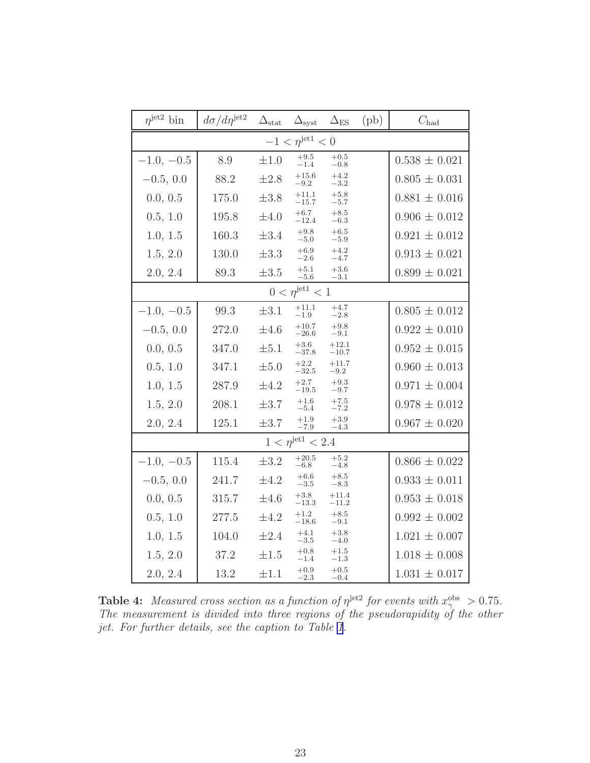| $n^{jet2}$ bin             | $d\sigma/d\eta^{\rm jet2}$ | $\Delta_{\text{stat}}$ | $\Delta_{\rm syst}$          | $\Delta_{ES}$       | (pb) | $C_{\rm had}$     |  |
|----------------------------|----------------------------|------------------------|------------------------------|---------------------|------|-------------------|--|
|                            |                            |                        | $-1 < \eta^{\rm{jet1}} < 0$  |                     |      |                   |  |
| $-1.0, -0.5$               | 8.9                        | $\pm 1.0$              | $^{+9.5}_{-1.4}$             | $+0.5$<br>$-0.8$    |      | $0.538 \pm 0.021$ |  |
| $-0.5, 0.0$                | 88.2                       | $\pm 2.8$              | $+15.6$<br>$-9.2$            | $+4.2$<br>$-3.2$    |      | $0.805 \pm 0.031$ |  |
| 0.0, 0.5                   | 175.0                      | $\pm 3.8$              | $+11.1$<br>$-15.7$           | $+5.8$<br>$-5.7$    |      | $0.881 \pm 0.016$ |  |
| 0.5, 1.0                   | 195.8                      | $\pm 4.0$              | $+6.7$<br>$-12.4$            | $+8.5$<br>$-6.3$    |      | $0.906 \pm 0.012$ |  |
| 1.0, 1.5                   | 160.3                      | $\pm 3.4$              | $+9.8$<br>$-5.0$             | $+6.5$<br>$-5.9$    |      | $0.921 \pm 0.012$ |  |
| 1.5, 2.0                   | 130.0                      | $\pm 3.3$              | $+6.9$<br>$-2.6$             | $+4.2$<br>$-4.7$    |      | $0.913 \pm 0.021$ |  |
| 2.0, 2.4                   | 89.3                       | $\pm 3.5$              | $+5.1$<br>$-5.6$             | $+3.6$<br>$-3.1$    |      | $0.899 \pm 0.021$ |  |
| $0 < \eta^{\rm{jet1}} < 1$ |                            |                        |                              |                     |      |                   |  |
| $-1.0, -0.5$               | 99.3                       | $\pm 3.1$              | $+11.1$<br>$-1.9$            | $+4.7$<br>$^{-2.8}$ |      | $0.805 \pm 0.012$ |  |
| $-0.5, 0.0$                | 272.0                      | $\pm 4.6$              | $+10.7$<br>$-26.6$           | $+9.8$<br>$-9.1$    |      | $0.922 \pm 0.010$ |  |
| 0.0, 0.5                   | 347.0                      | $\pm 5.1$              | $+3.6$<br>$-37.8$            | $+12.1$<br>$-10.7$  |      | $0.952 \pm 0.015$ |  |
| 0.5, 1.0                   | 347.1                      | $\pm 5.0$              | $+2.2$<br>$-32.5$            | $+11.7$<br>$-9.2$   |      | $0.960 \pm 0.013$ |  |
| 1.0, 1.5                   | 287.9                      | $\pm 4.2$              | $+2.7$<br>$-19.5$            | $+9.3$<br>$-9.7$    |      | $0.971 \pm 0.004$ |  |
| 1.5, 2.0                   | 208.1                      | $\pm 3.7$              | $+1.6$<br>$-5.4$             | $+7.5$<br>$-7.2$    |      | $0.978 \pm 0.012$ |  |
| 2.0, 2.4                   | 125.1                      | $\pm 3.7$              | $+1.9$<br>$-7.9$             | $+3.9$<br>$-4.3$    |      | $0.967 \pm 0.020$ |  |
|                            |                            |                        | $1 < \eta^{\rm{jet1}} < 2.4$ |                     |      |                   |  |
| $-1.0, -0.5$               | 115.4                      | $\pm 3.2$              | $+20.5$<br>$-6.8$            | $+5.2$<br>$-4.8$    |      | $0.866 \pm 0.022$ |  |
| $-0.5, 0.0$                | 241.7                      | $\pm 4.2$              | $+6.6$<br>$-3.5$             | $+8.5$<br>$-8.3$    |      | $0.933 \pm 0.011$ |  |
| 0.0, 0.5                   | 315.7                      | $\pm 4.6$              | $+3.8$<br>$-13.3$            | $+11.4$<br>$-11.2$  |      | $0.953 \pm 0.018$ |  |
| 0.5, 1.0                   | 277.5                      | $\pm 4.2$              | $+1.2$<br>$-18.6$            | $+8.5$<br>$-9.1$    |      | $0.992 \pm 0.002$ |  |
| 1.0, 1.5                   | 104.0                      | $\pm 2.4$              | $+4.1$<br>$-3.5$             | $+3.8$<br>$-4.0$    |      | $1.021 \pm 0.007$ |  |
| 1.5, 2.0                   | 37.2                       | $\pm 1.5$              | $+0.8$<br>$-1.4$             | $+1.5$<br>$-1.3$    |      | $1.018 \pm 0.008$ |  |
| 2.0, 2.4                   | 13.2                       | $\pm 1.1$              | $+0.9$<br>$-2.3$             | $+0.5$<br>$-0.4$    |      | $1.031 \pm 0.017$ |  |

**Table 4:** Measured cross section as a function of  $\eta^{\text{jet2}}$  for events with  $x_{\gamma}^{\text{obs}} > 0.75$ . The measurement is divided into three regions of the pseudorapidity of the other jet. For further details, see the caption to Table [1](#page-25-0).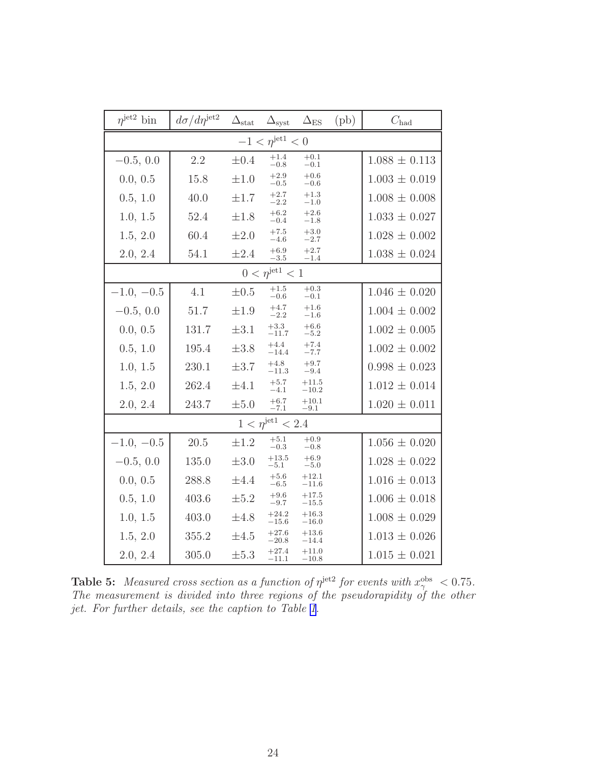| $n^{jet2}$ bin             | $d\sigma/d\eta^{\rm jet2}$ | $\Delta_{\text{stat}}$ | $\Delta_{\rm syst}$          | $\Delta_{ES}$       | $(\text{pb})$ | $C_{\text{had}}$  |  |  |
|----------------------------|----------------------------|------------------------|------------------------------|---------------------|---------------|-------------------|--|--|
|                            |                            |                        | $-1 < \eta^{\rm{jet1}} < 0$  |                     |               |                   |  |  |
| $-0.5, 0.0$                | 2.2                        | $\pm 0.4$              | $+1.4$<br>$-0.8$             | $^{+0.1}_{-0.1}$    |               | $1.088 \pm 0.113$ |  |  |
| 0.0, 0.5                   | 15.8                       | $\pm 1.0$              | $+2.9$<br>$-0.5$             | $+0.6$<br>$-0.6$    |               | $1.003 \pm 0.019$ |  |  |
| 0.5, 1.0                   | 40.0                       | $\pm 1.7$              | $+2.7\,$<br>$-2.2$           | $+1.3$<br>$-1.0$    |               | $1.008 \pm 0.008$ |  |  |
| 1.0, 1.5                   | 52.4                       | $\pm 1.8$              | $+6.2$<br>$-0.4$             | $+2.6$<br>$-1.8$    |               | $1.033 \pm 0.027$ |  |  |
| 1.5, 2.0                   | 60.4                       | $\pm 2.0$              | $+7.5$<br>$-4.6$             | $+3.0$<br>$-2.7$    |               | $1.028 \pm 0.002$ |  |  |
| 2.0, 2.4                   | 54.1                       | $\pm 2.4$              | $+6.9$<br>$-3.5$             | $+2.7$<br>$^{-1.4}$ |               | $1.038 \pm 0.024$ |  |  |
| $0 < \eta^{\rm{jet1}} < 1$ |                            |                        |                              |                     |               |                   |  |  |
| $-1.0, -0.5$               | 4.1                        | $\pm 0.5$              | $+1.5$<br>$-0.6$             | $+0.3$<br>$-0.1$    |               | $1.046 \pm 0.020$ |  |  |
| $-0.5, 0.0$                | 51.7                       | $\pm 1.9$              | $+4.7$<br>$-2.2$             | $+1.6$<br>$-1.6$    |               | $1.004 \pm 0.002$ |  |  |
| 0.0, 0.5                   | 131.7                      | $\pm 3.1$              | $+3.3$<br>$-11.7$            | $+6.6$<br>$-5.2$    |               | $1.002 \pm 0.005$ |  |  |
| 0.5, 1.0                   | 195.4                      | $\pm 3.8$              | $+4.4$<br>$-14.4$            | $+7.4$<br>$-7.7$    |               | $1.002 \pm 0.002$ |  |  |
| 1.0, 1.5                   | 230.1                      | $\pm 3.7$              | $+4.8$<br>$-11.3$            | $+9.7$<br>$-9.4$    |               | $0.998 \pm 0.023$ |  |  |
| 1.5, 2.0                   | 262.4                      | $\pm 4.1$              | $+5.7$<br>$-4.1$             | $+11.5$<br>$-10.2$  |               | $1.012 \pm 0.014$ |  |  |
| 2.0, 2.4                   | 243.7                      | $\pm 5.0$              | $+6.7$<br>$-7.1$             | $+10.1$<br>$-9.1$   |               | $1.020 \pm 0.011$ |  |  |
|                            |                            |                        | $1 < \eta^{\rm{jet1}} < 2.4$ |                     |               |                   |  |  |
| $-1.0, -0.5$               | 20.5                       | $\pm 1.2$              | $+5.1$<br>$-0.3$             | $+0.9$<br>$-0.8$    |               | $1.056 \pm 0.020$ |  |  |
| $-0.5, 0.0$                | 135.0                      | $\pm 3.0$              | $+13.5$<br>$-5.1$            | $+6.9$<br>$-5.0$    |               | $1.028 \pm 0.022$ |  |  |
| 0.0, 0.5                   | 288.8                      | $\pm 4.4$              | $+5.6$<br>$-6.5$             | $+12.1$<br>$-11.6$  |               | $1.016 \pm 0.013$ |  |  |
| 0.5, 1.0                   | 403.6                      | $\pm 5.2$              | $+9.6$<br>$-9.7$             | $+17.5$<br>$-15.5$  |               | $1.006 \pm 0.018$ |  |  |
| 1.0, 1.5                   | 403.0                      | $\pm 4.8$              | $+24.2$<br>$-15.6$           | $+16.3$<br>$-16.0$  |               | $1.008 \pm 0.029$ |  |  |
| 1.5, 2.0                   | 355.2                      | $\pm 4.5$              | $+27.6$<br>$-20.8$           | $+13.6$<br>$-14.4$  |               | $1.013 \pm 0.026$ |  |  |
| 2.0, 2.4                   | 305.0                      | $\pm 5.3$              | $+27.4$<br>$-11.1$           | $+11.0$<br>$-10.8$  |               | $1.015 \pm 0.021$ |  |  |

**Table 5:** Measured cross section as a function of  $\eta^{\text{jet2}}$  for events with  $x_{\gamma}^{\text{obs}} < 0.75$ . The measurement is divided into three regions of the pseudorapidity of the other jet. For further details, see the caption to Table [1.](#page-25-0)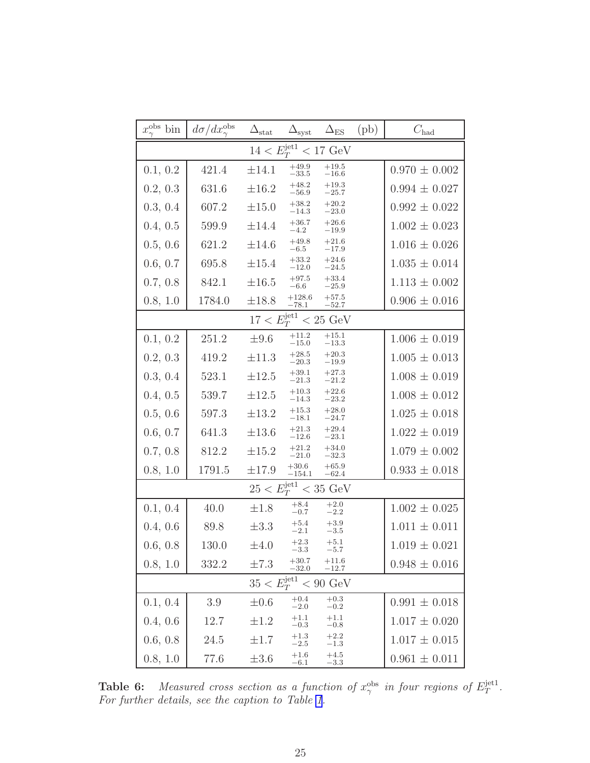<span id="page-32-0"></span>

| $x_{\gamma}^{\text{obs}}$ bin                  | $d\sigma/dx_{\gamma}^{\rm obs}$ | $\Delta_{\text{stat}}$   | $\Delta_{\rm syst}$        | $\Delta_{\rm ES}$     | (pb) | $C_{\rm had}$     |  |  |
|------------------------------------------------|---------------------------------|--------------------------|----------------------------|-----------------------|------|-------------------|--|--|
|                                                |                                 | $14 < E_T^{\text{jet1}}$ |                            | $< 17 \text{ GeV}$    |      |                   |  |  |
| 0.1, 0.2                                       | 421.4                           | $\pm 14.1$               | $+49.9$<br>$^{-33.5}$      | $+19.5$<br>$^{-16.6}$ |      | $0.970 \pm 0.002$ |  |  |
| 0.2, 0.3                                       | 631.6                           | $\pm 16.2$               | $+48.2$<br>$-56.9$         | $+19.3$<br>$-25.7$    |      | $0.994 \pm 0.027$ |  |  |
| 0.3, 0.4                                       | 607.2                           | $\pm 15.0$               | $+38.2$<br>$-14.3$         | $+20.2$<br>$-23.0$    |      | $0.992 \pm 0.022$ |  |  |
| 0.4, 0.5                                       | 599.9                           | $\pm 14.4$               | $+36.7$<br>$-4.2$          | $+26.6$<br>$-19.9$    |      | $1.002 \pm 0.023$ |  |  |
| 0.5, 0.6                                       | 621.2                           | $\pm 14.6$               | $+49.8$<br>$-6.5\,$        | $+21.6$<br>$-17.9$    |      | $1.016 \pm 0.026$ |  |  |
| 0.6, 0.7                                       | 695.8                           | $\pm 15.4$               | $+33.2$<br>$^{-12.0}$      | $+24.6$<br>$-24.5$    |      | $1.035 \pm 0.014$ |  |  |
| 0.7, 0.8                                       | 842.1                           | $\pm 16.5$               | $+97.5$<br>$-6.6$          | $+33.4$<br>$-25.9$    |      | $1.113 \pm 0.002$ |  |  |
| 0.8, 1.0                                       | 1784.0                          | $\pm 18.8$               | $+128.6$<br>$-78.1$        | $+57.5$<br>$-52.7$    |      | $0.906 \pm 0.016$ |  |  |
| $17 < E_T^{\text{jet1}}$<br>$< 25 \text{ GeV}$ |                                 |                          |                            |                       |      |                   |  |  |
| 0.1, 0.2                                       | 251.2                           | $\pm 9.6$                | $+11.2$<br>$-15.0$         | $+15.1$<br>$-13.3$    |      | $1.006 \pm 0.019$ |  |  |
| 0.2, 0.3                                       | 419.2                           | $\pm 11.3$               | $+28.5$<br>$-20.3$         | $+20.3$<br>$-19.9$    |      | $1.005 \pm 0.013$ |  |  |
| 0.3, 0.4                                       | 523.1                           | $\pm 12.5$               | $+39.1$<br>$-21.3$         | $+27.3$<br>$-21.2$    |      | $1.008 \pm 0.019$ |  |  |
| 0.4, 0.5                                       | 539.7                           | $\pm 12.5$               | $+10.3$<br>$-14.3\,$       | $+22.6$<br>$-23.2$    |      | $1.008 \pm 0.012$ |  |  |
| 0.5, 0.6                                       | 597.3                           | $\pm 13.2$               | $+15.3$<br>$-18.1$         | $+28.0$<br>$-24.7$    |      | $1.025 \pm 0.018$ |  |  |
| 0.6, 0.7                                       | 641.3                           | $\pm 13.6$               | $+21.3$<br>$-12.6$         | $+29.4$<br>$-23.1$    |      | $1.022 \pm 0.019$ |  |  |
| 0.7, 0.8                                       | 812.2                           | $\pm 15.2$               | $+21.2$<br>$-21.0$         | $+34.0$<br>$-32.3$    |      | $1.079 \pm 0.002$ |  |  |
| 0.8, 1.0                                       | 1791.5                          | $\pm 17.9$               | $+30.6$<br>$^{\rm -154.1}$ | $+65.9$<br>$-62.4$    |      | $0.933 \pm 0.018$ |  |  |
|                                                |                                 | $25 < E_T^{\rm{jet1}}$   |                            | $< 35 \text{ GeV}$    |      |                   |  |  |
| 0.1, 0.4                                       | 40.0                            | $\pm 1.8$                | $+8.4$<br>$-0.7$           | $+2.0$<br>$-2.2$      |      | $1.002 \pm 0.025$ |  |  |
| 0.4, 0.6                                       | 89.8                            | $\pm 3.3$                | $+5.4$<br>$-2.1$           | $+3.9$<br>$-3.5$      |      | $1.011 \pm 0.011$ |  |  |
| 0.6, 0.8                                       | 130.0                           | $\pm 4.0$                | $+2.3$<br>3.3              | $+5.1$<br>$-5.7$      |      | $1.019 \pm 0.021$ |  |  |
| 0.8, 1.0                                       | 332.2                           | $\pm 7.3$                | $+30.7$<br>$-32.0$         | $+11.6$<br>$-12.7$    |      | $0.948 \pm 0.016$ |  |  |
|                                                |                                 | $35 < E_T^{\text{jet1}}$ |                            | $< 90 \text{ GeV}$    |      |                   |  |  |
| 0.1, 0.4                                       | 3.9                             | $\pm 0.6$                | $+0.4$<br>$-2.0$           | $+0.3$<br>$-0.2$      |      | $0.991 \pm 0.018$ |  |  |
| 0.4, 0.6                                       | 12.7                            | $\pm 1.2$                | $+1.1$<br>$-0.3$           | $+1.1$<br>$-0.8$      |      | $1.017 \pm 0.020$ |  |  |
| 0.6, 0.8                                       | 24.5                            | $\pm 1.7$                | $+1.3$<br>$-2.5$           | $+2.2$<br>$-1.3$      |      | $1.017 \pm 0.015$ |  |  |
| 0.8, 1.0                                       | 77.6                            | $\pm 3.6$                | $+1.6$<br>$-6.1$           | $+4.5$<br>$-3.3$      |      | $0.961 \pm 0.011$ |  |  |

**Table 6:** Measured cross section as a function of  $x_{\gamma}^{\text{obs}}$  in four regions of  $E_T^{\text{jet1}}$  $_T^{\rm jet1}$  . For further details, see the caption to Table [1](#page-25-0).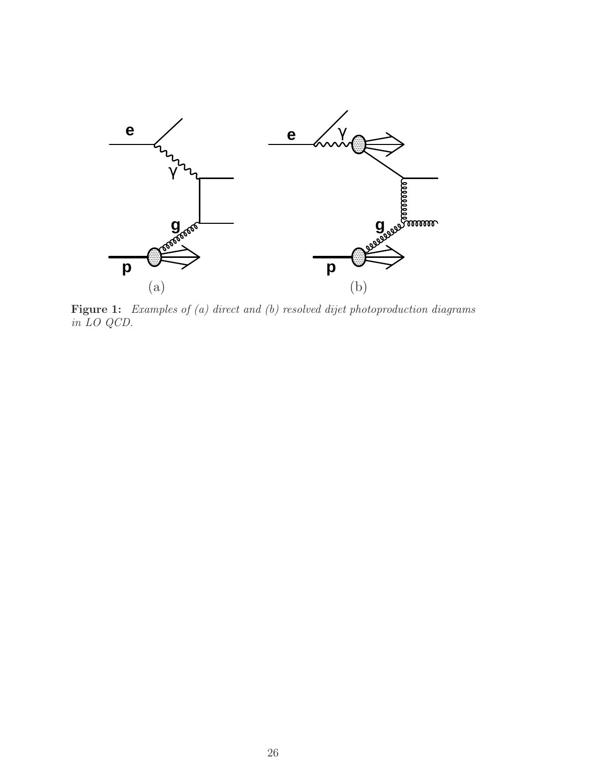<span id="page-33-0"></span>

Figure 1: Examples of (a) direct and (b) resolved dijet photoproduction diagrams in LO QCD.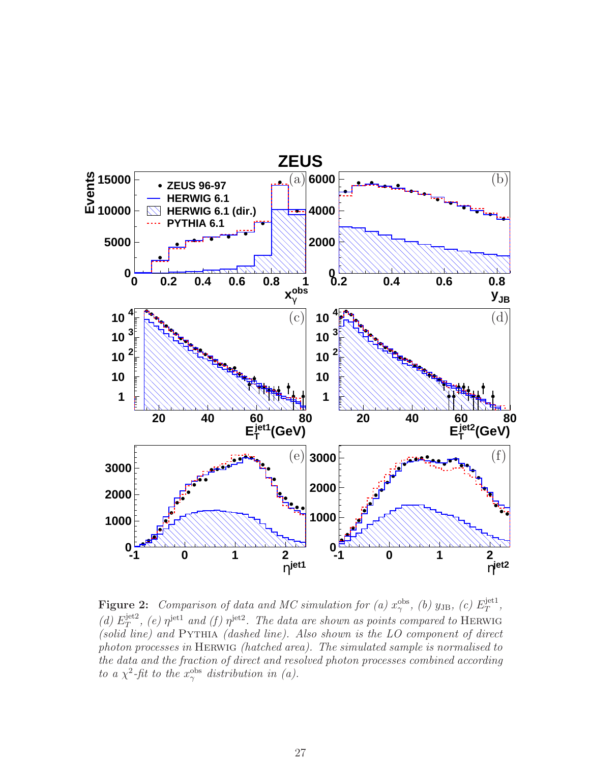<span id="page-34-0"></span>

**Figure 2:** Comparison of data and MC simulation for (a)  $x_{\gamma}^{\text{obs}}$ , (b)  $y_{\text{JB}}$ , (c)  $E_T^{\text{jet1}}$  $_T^{\rm{jet1}}$  , (d)  $E_T^{\text{jet2}}$  $T^{jet2}$ , (e)  $\eta^{jet1}$  and (f)  $\eta^{jet2}$ . The data are shown as points compared to HERWIG (solid line) and  $PYTHIA$  (dashed line). Also shown is the LO component of direct photon processes in Herwig (hatched area). The simulated sample is normalised to the data and the fraction of direct and resolved photon processes combined according to a  $\chi^2$ -fit to the  $x_\gamma^{\text{obs}}$  distribution in (a).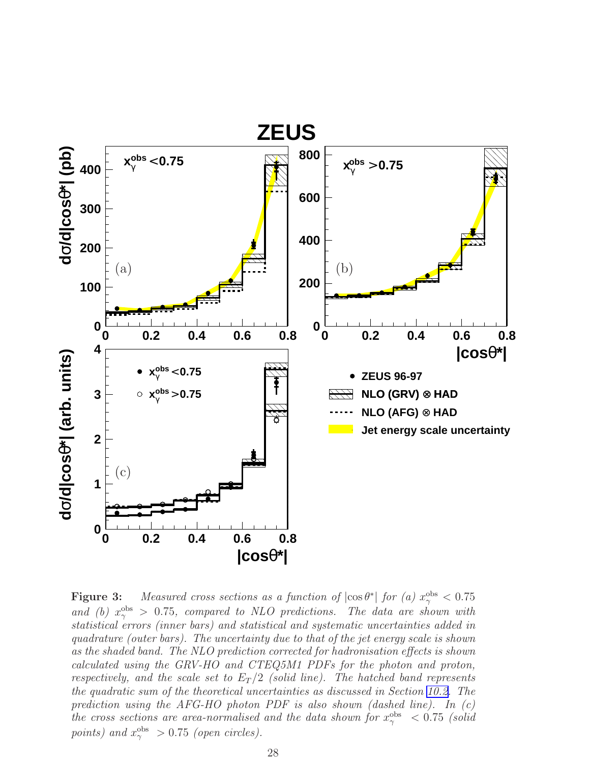<span id="page-35-0"></span>

**Figure 3:** Measured cross sections as a function of  $|\cos \theta^*|$  for (a)  $x_\gamma^{\text{obs}} < 0.75$ and (b)  $x_{\gamma}^{\text{obs}} > 0.75$ , compared to NLO predictions. The data are shown with statistical errors (inner bars) and statistical and systematic uncertainties added in quadrature (outer bars). The uncertainty due to that of the jet energy scale is shown as the shaded band. The NLO prediction corrected for hadronisation effects is shown calculated using the GRV-HO and CTEQ5M1 PDFs for the photon and proton, respectively, and the scale set to  $E_T/2$  (solid line). The hatched band represents the quadratic sum of the theoretical uncertainties as discussed in Section [10.2.](#page-17-0) The prediction using the AFG-HO photon PDF is also shown (dashed line). In  $(c)$ the cross sections are area-normalised and the data shown for  $x_{\gamma}^{\text{obs}} < 0.75$  (solid points) and  $x_{\gamma}^{\text{obs}} > 0.75$  (open circles).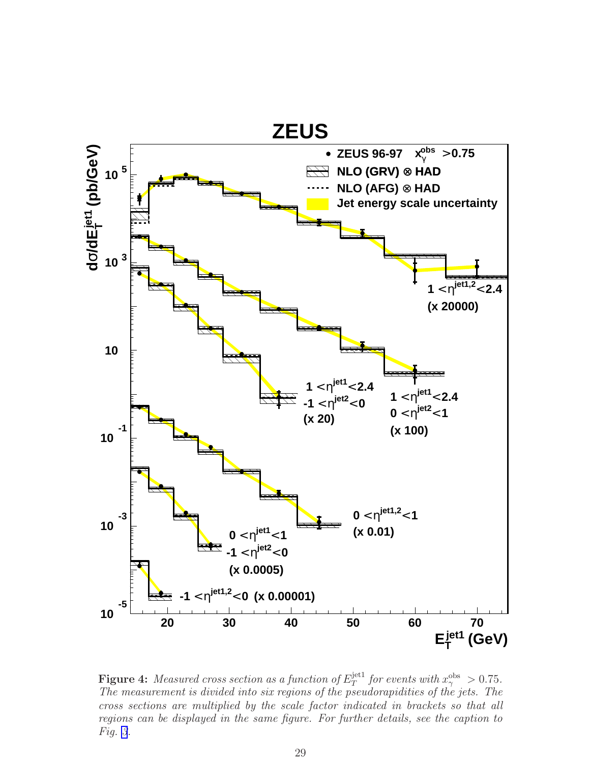<span id="page-36-0"></span>

**Figure 4:** Measured cross section as a function of  $E_T^{\text{jet1}}$  $j_{T}^{\text{jet1}}$  for events with  $x_{\gamma}^{\text{obs}} > 0.75$ . The measurement is divided into six regions of the pseudorapidities of the jets. The cross sections are multiplied by the scale factor indicated in brackets so that all regions can be displayed in the same figure. For further details, see the caption to Fig. [3](#page-35-0).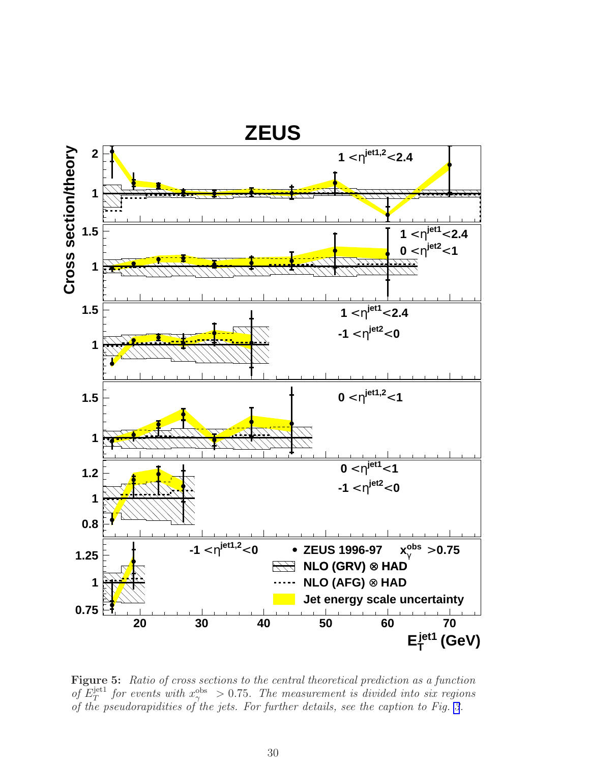<span id="page-37-0"></span>

Figure 5: Ratio of cross sections to the central theoretical prediction as a function of  $E_T^{\text{jet1}}$  $T^{jet1}_{T}$  for events with  $x_{\gamma}^{\text{obs}} > 0.75$ . The measurement is divided into six regions of the pseudorapidities of the jets. For further details, see the caption to Fig. [3](#page-35-0).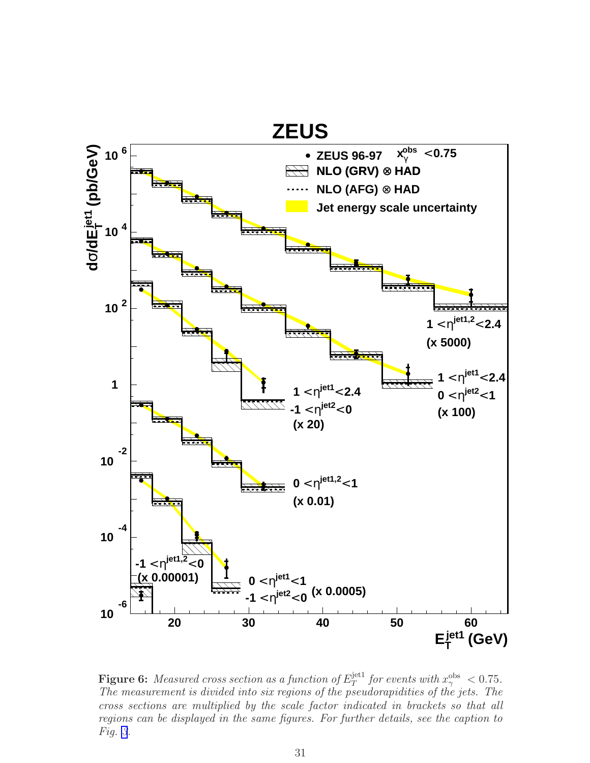<span id="page-38-0"></span>

**Figure 6:** Measured cross section as a function of  $E_T^{\text{jet1}}$  $T_T^{\text{jet1}}$  for events with  $x_\gamma^{\text{obs}} < 0.75$ . The measurement is divided into six regions of the pseudorapidities of the jets. The cross sections are multiplied by the scale factor indicated in brackets so that all regions can be displayed in the same figures. For further details, see the caption to Fig. [3](#page-35-0).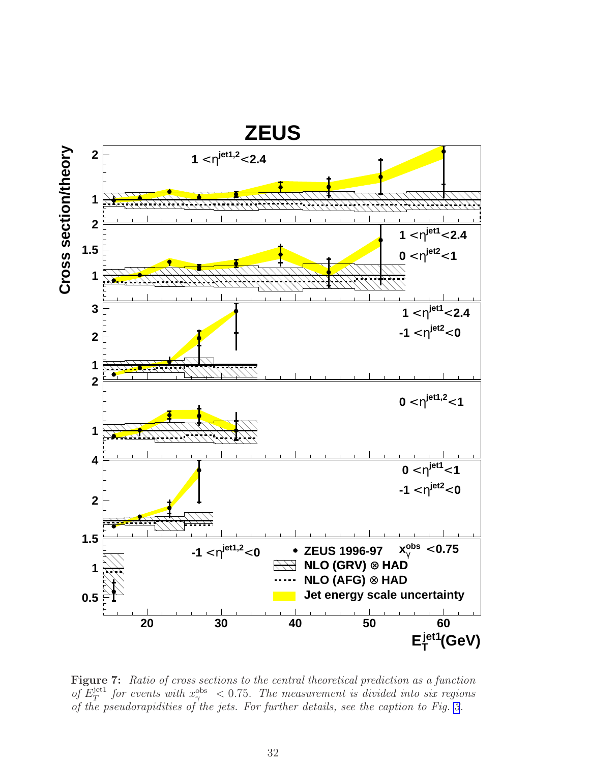<span id="page-39-0"></span>

Figure 7: Ratio of cross sections to the central theoretical prediction as a function of  $E_T^{\text{jet1}}$  $T^{jet1}_{T}$  for events with  $x_{\gamma}^{\text{obs}} < 0.75$ . The measurement is divided into six regions of the pseudorapidities of the jets. For further details, see the caption to Fig. [3](#page-35-0).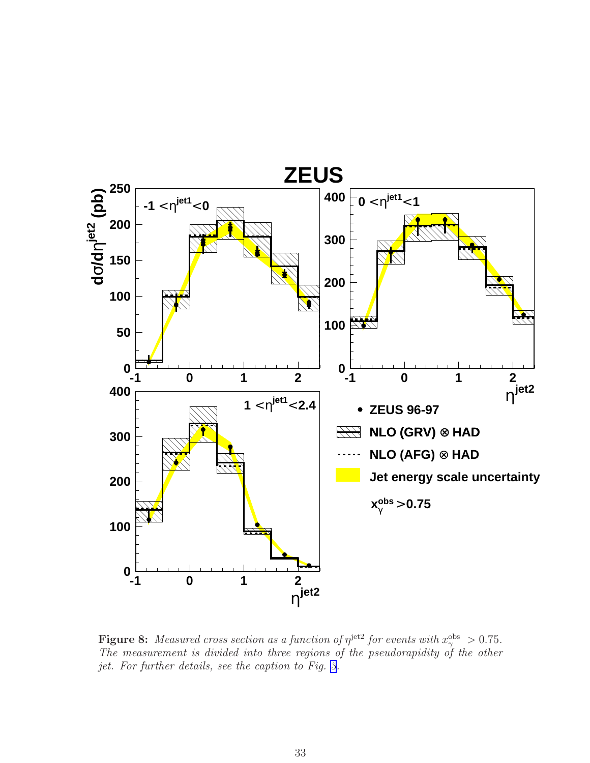<span id="page-40-0"></span>

**Figure 8:** Measured cross section as a function of  $\eta^{\text{jet2}}$  for events with  $x_{\gamma}^{\text{obs}} > 0.75$ . The measurement is divided into three regions of the pseudorapidity of the other jet. For further details, see the caption to Fig. [3](#page-35-0).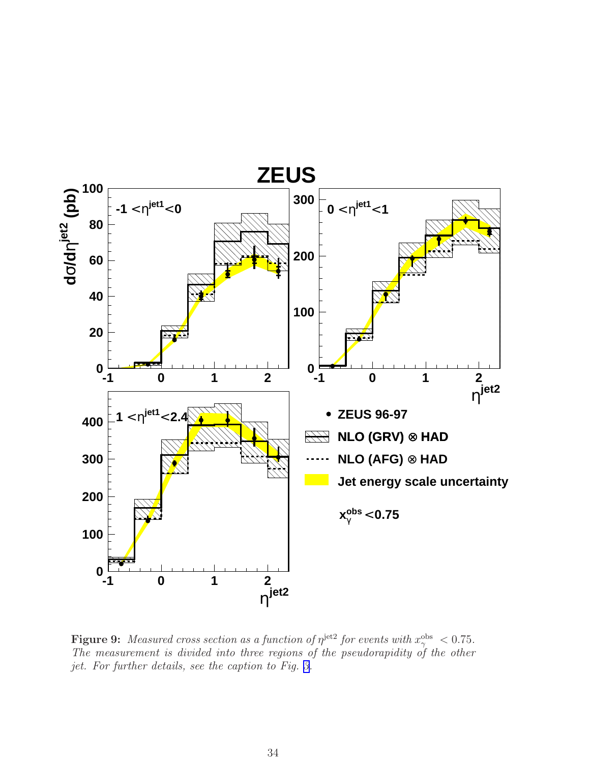<span id="page-41-0"></span>

**Figure 9:** Measured cross section as a function of  $\eta^{\text{jet2}}$  for events with  $x_{\gamma}^{\text{obs}} < 0.75$ . The measurement is divided into three regions of the pseudorapidity of the other jet. For further details, see the caption to Fig. [3.](#page-35-0)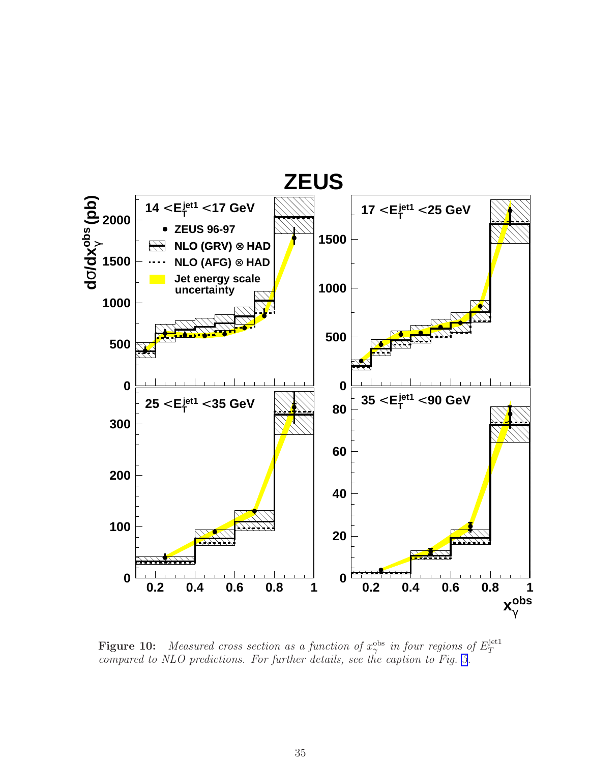<span id="page-42-0"></span>

**Figure 10:** Measured cross section as a function of  $x_\gamma^{\text{obs}}$  in four regions of  $E_T^{\text{jet1}}$ T compared to NLO predictions. For further details, see the caption to Fig. [3](#page-35-0).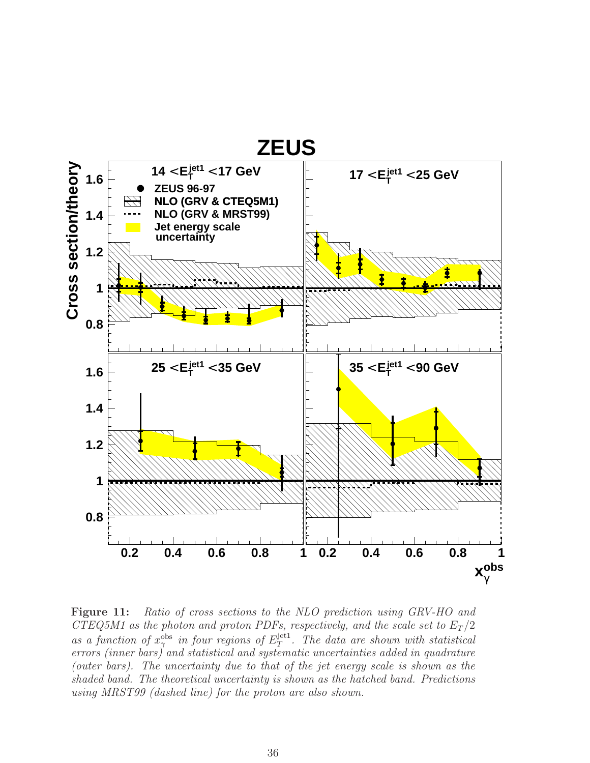<span id="page-43-0"></span>

**Figure 11:** Ratio of cross sections to the NLO prediction using GRV-HO and CTEQ5M1 as the photon and proton PDFs, respectively, and the scale set to  $E_T/2$ as a function of  $x_\gamma^{\text{obs}}$  in four regions of  $E_T^{\text{jet1}}$  $T^{\text{jet1}}$ . The data are shown with statistical errors (inner bars) and statistical and systematic uncertainties added in quadrature (outer bars). The uncertainty due to that of the jet energy scale is shown as the shaded band. The theoretical uncertainty is shown as the hatched band. Predictions using MRST99 (dashed line) for the proton are also shown.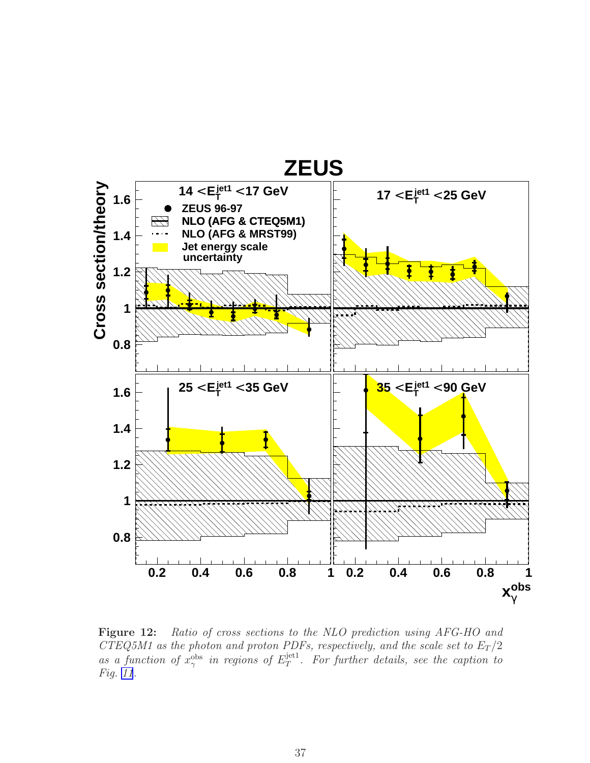<span id="page-44-0"></span>

Figure 12: Ratio of cross sections to the NLO prediction using AFG-HO and CTEQ5M1 as the photon and proton PDFs, respectively, and the scale set to  $E_T/2$ as a function of  $x_\gamma^{\text{obs}}$  in regions of  $E_T^{\text{jet1}}$  $T^{\text{jet1}}$ . For further details, see the caption to Fig. [11](#page-43-0).